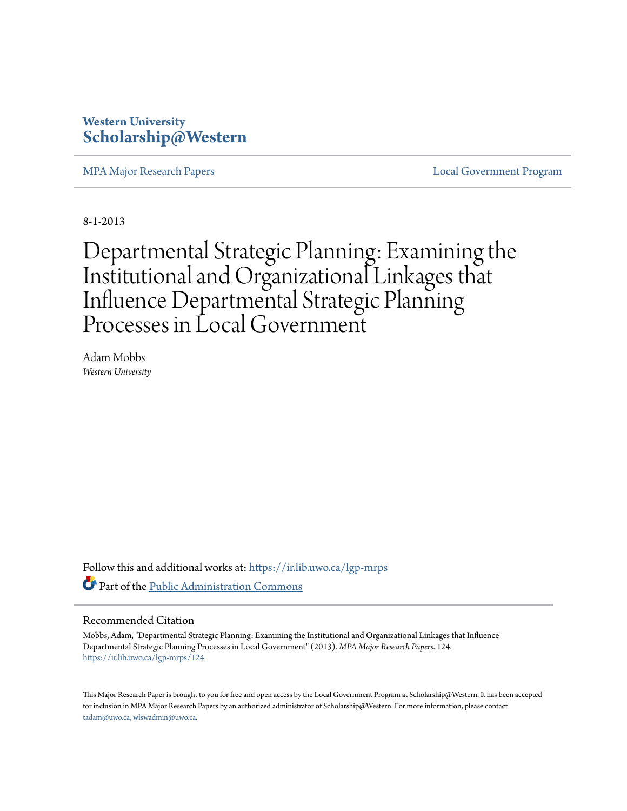# **Western University [Scholarship@Western](https://ir.lib.uwo.ca?utm_source=ir.lib.uwo.ca%2Flgp-mrps%2F124&utm_medium=PDF&utm_campaign=PDFCoverPages)**

[MPA Major Research Papers](https://ir.lib.uwo.ca/lgp-mrps?utm_source=ir.lib.uwo.ca%2Flgp-mrps%2F124&utm_medium=PDF&utm_campaign=PDFCoverPages) [Local Government Program](https://ir.lib.uwo.ca/lgp?utm_source=ir.lib.uwo.ca%2Flgp-mrps%2F124&utm_medium=PDF&utm_campaign=PDFCoverPages)

8-1-2013

Departmental Strategic Planning: Examining the Institutional and Organizational Linkages that Influence Departmental Strategic Planning Processes in Local Government

Adam Mobbs *Western University*

Follow this and additional works at: [https://ir.lib.uwo.ca/lgp-mrps](https://ir.lib.uwo.ca/lgp-mrps?utm_source=ir.lib.uwo.ca%2Flgp-mrps%2F124&utm_medium=PDF&utm_campaign=PDFCoverPages) Part of the [Public Administration Commons](http://network.bepress.com/hgg/discipline/398?utm_source=ir.lib.uwo.ca%2Flgp-mrps%2F124&utm_medium=PDF&utm_campaign=PDFCoverPages)

#### Recommended Citation

Mobbs, Adam, "Departmental Strategic Planning: Examining the Institutional and Organizational Linkages that Influence Departmental Strategic Planning Processes in Local Government" (2013). *MPA Major Research Papers*. 124. [https://ir.lib.uwo.ca/lgp-mrps/124](https://ir.lib.uwo.ca/lgp-mrps/124?utm_source=ir.lib.uwo.ca%2Flgp-mrps%2F124&utm_medium=PDF&utm_campaign=PDFCoverPages)

This Major Research Paper is brought to you for free and open access by the Local Government Program at Scholarship@Western. It has been accepted for inclusion in MPA Major Research Papers by an authorized administrator of Scholarship@Western. For more information, please contact [tadam@uwo.ca, wlswadmin@uwo.ca](mailto:tadam@uwo.ca,%20wlswadmin@uwo.ca).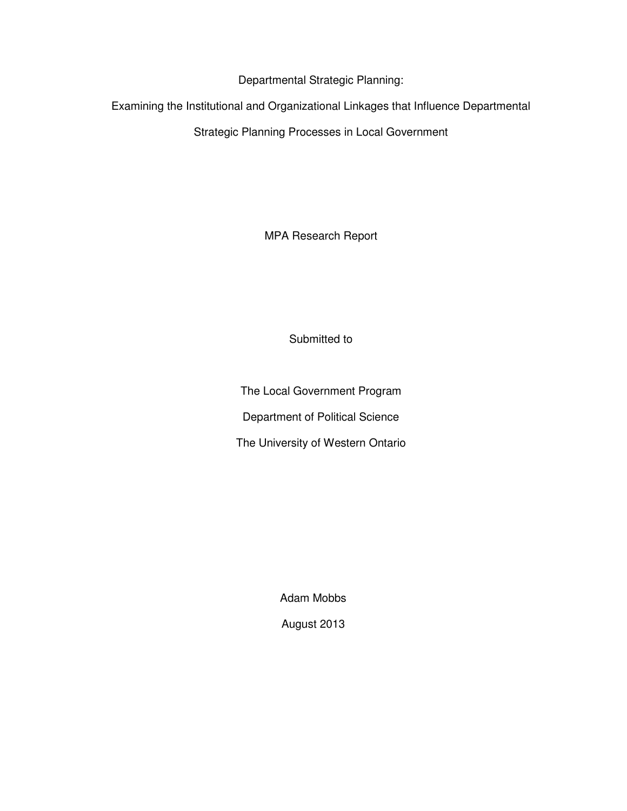Departmental Strategic Planning:

Examining the Institutional and Organizational Linkages that Influence Departmental

Strategic Planning Processes in Local Government

MPA Research Report

Submitted to

The Local Government Program Department of Political Science The University of Western Ontario

Adam Mobbs

August 2013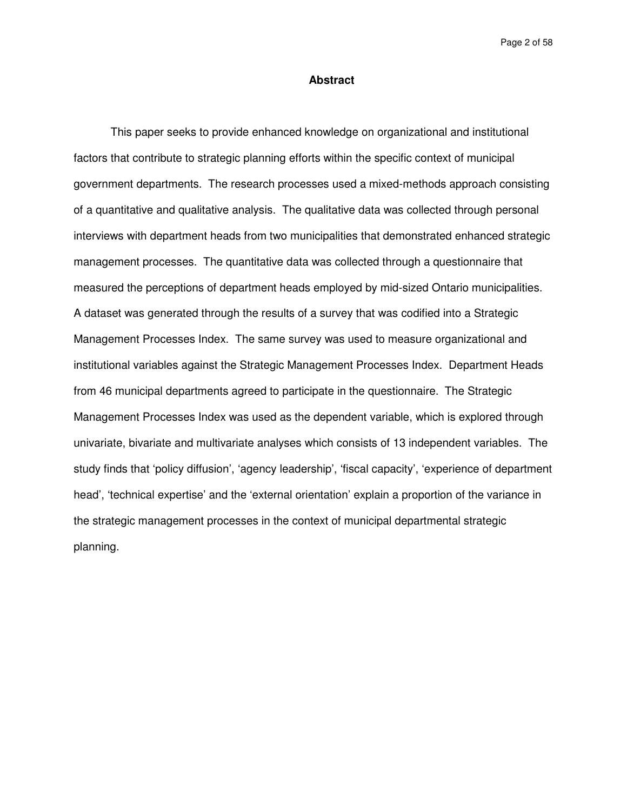Page 2 of 58

#### **Abstract**

This paper seeks to provide enhanced knowledge on organizational and institutional factors that contribute to strategic planning efforts within the specific context of municipal government departments. The research processes used a mixed-methods approach consisting of a quantitative and qualitative analysis. The qualitative data was collected through personal interviews with department heads from two municipalities that demonstrated enhanced strategic management processes. The quantitative data was collected through a questionnaire that measured the perceptions of department heads employed by mid-sized Ontario municipalities. A dataset was generated through the results of a survey that was codified into a Strategic Management Processes Index. The same survey was used to measure organizational and institutional variables against the Strategic Management Processes Index. Department Heads from 46 municipal departments agreed to participate in the questionnaire. The Strategic Management Processes Index was used as the dependent variable, which is explored through univariate, bivariate and multivariate analyses which consists of 13 independent variables. The study finds that 'policy diffusion', 'agency leadership', 'fiscal capacity', 'experience of department head', 'technical expertise' and the 'external orientation' explain a proportion of the variance in the strategic management processes in the context of municipal departmental strategic planning.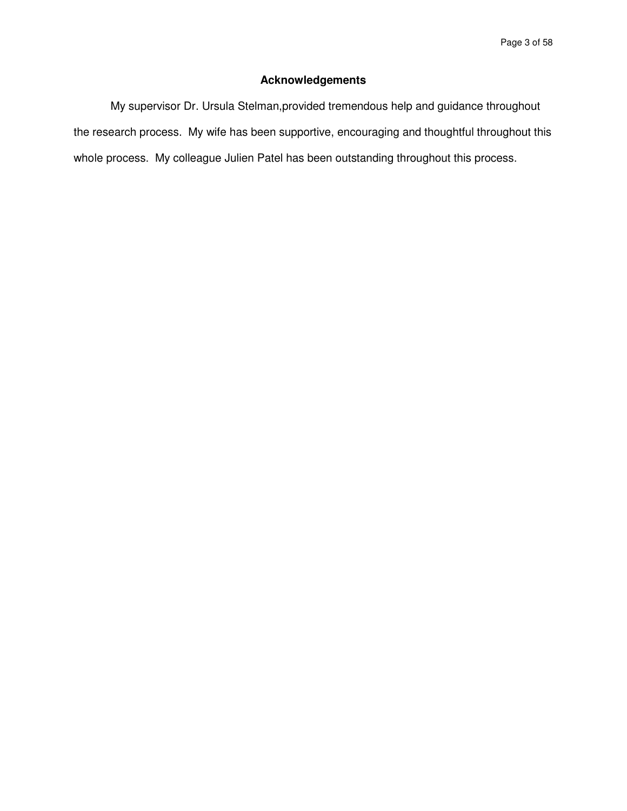# **Acknowledgements**

My supervisor Dr. Ursula Stelman,provided tremendous help and guidance throughout the research process. My wife has been supportive, encouraging and thoughtful throughout this whole process. My colleague Julien Patel has been outstanding throughout this process.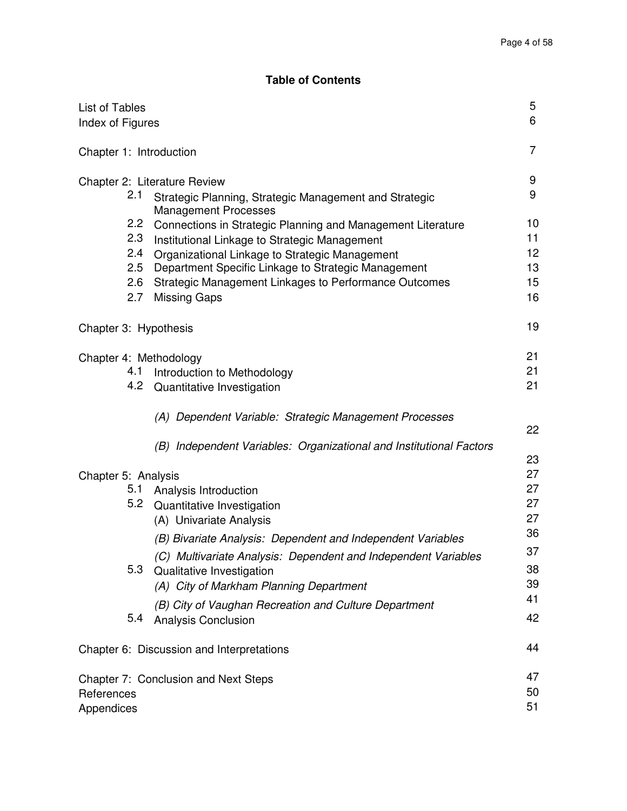# **Table of Contents**

| List of Tables<br>Index of Figures         |                                                                                                                                                                                                                                                                                                              | 5<br>6                                 |
|--------------------------------------------|--------------------------------------------------------------------------------------------------------------------------------------------------------------------------------------------------------------------------------------------------------------------------------------------------------------|----------------------------------------|
| Chapter 1: Introduction                    |                                                                                                                                                                                                                                                                                                              | 7                                      |
| 2.1                                        | Chapter 2: Literature Review<br>Strategic Planning, Strategic Management and Strategic<br><b>Management Processes</b>                                                                                                                                                                                        | 9<br>9                                 |
| $2.2\,$<br>2.3<br>2.4<br>2.5<br>2.6<br>2.7 | Connections in Strategic Planning and Management Literature<br>Institutional Linkage to Strategic Management<br>Organizational Linkage to Strategic Management<br>Department Specific Linkage to Strategic Management<br><b>Strategic Management Linkages to Performance Outcomes</b><br><b>Missing Gaps</b> | 10<br>11<br>12<br>13<br>15<br>16       |
| Chapter 3: Hypothesis                      |                                                                                                                                                                                                                                                                                                              | 19                                     |
| Chapter 4: Methodology<br>4.1<br>4.2       | Introduction to Methodology<br>Quantitative Investigation                                                                                                                                                                                                                                                    | 21<br>21<br>21                         |
|                                            | (A) Dependent Variable: Strategic Management Processes<br>(B) Independent Variables: Organizational and Institutional Factors                                                                                                                                                                                | 22                                     |
| Chapter 5: Analysis<br>5.1                 | Analysis Introduction<br>5.2 Quantitative Investigation<br>(A) Univariate Analysis<br>(B) Bivariate Analysis: Dependent and Independent Variables<br>(C) Multivariate Analysis: Dependent and Independent Variables                                                                                          | 23<br>27<br>27<br>27<br>27<br>36<br>37 |
| 5.3                                        | Qualitative Investigation<br>(A) City of Markham Planning Department                                                                                                                                                                                                                                         | 38<br>39                               |
| 5.4                                        | (B) City of Vaughan Recreation and Culture Department<br><b>Analysis Conclusion</b>                                                                                                                                                                                                                          | 41<br>42                               |
|                                            | Chapter 6: Discussion and Interpretations                                                                                                                                                                                                                                                                    | 44                                     |
| References<br>Appendices                   | Chapter 7: Conclusion and Next Steps                                                                                                                                                                                                                                                                         | 47<br>50<br>51                         |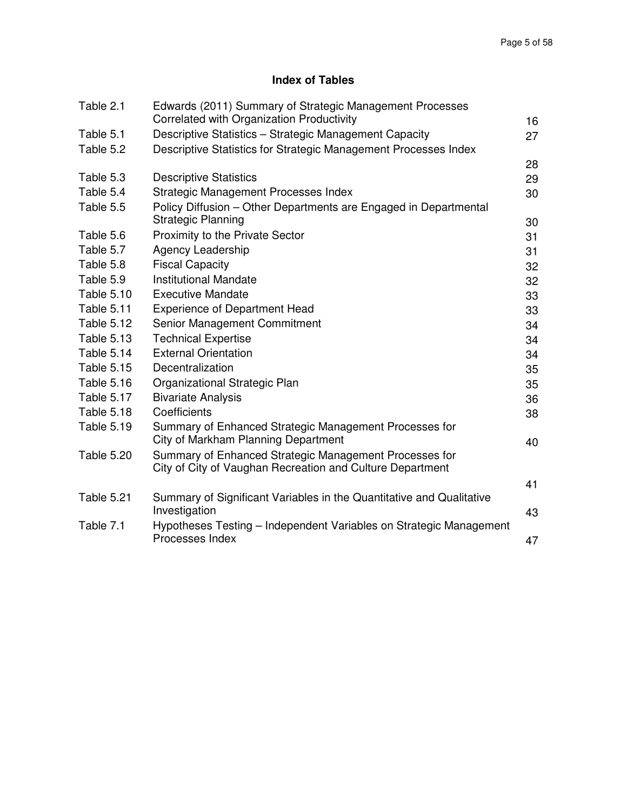# **Index of Tables**

| Table 2.1         | Edwards (2011) Summary of Strategic Management Processes<br>Correlated with Organization Productivity               | 16 |
|-------------------|---------------------------------------------------------------------------------------------------------------------|----|
| Table 5.1         | Descriptive Statistics - Strategic Management Capacity                                                              | 27 |
| Table 5.2         | Descriptive Statistics for Strategic Management Processes Index                                                     |    |
|                   |                                                                                                                     | 28 |
| Table 5.3         | <b>Descriptive Statistics</b>                                                                                       | 29 |
| Table 5.4         | Strategic Management Processes Index                                                                                | 30 |
| Table 5.5         | Policy Diffusion - Other Departments are Engaged in Departmental                                                    |    |
|                   | <b>Strategic Planning</b>                                                                                           | 30 |
| Table 5.6         | Proximity to the Private Sector                                                                                     | 31 |
| Table 5.7         | Agency Leadership                                                                                                   | 31 |
| Table 5.8         | <b>Fiscal Capacity</b>                                                                                              | 32 |
| Table 5.9         | <b>Institutional Mandate</b>                                                                                        | 32 |
| <b>Table 5.10</b> | <b>Executive Mandate</b>                                                                                            | 33 |
| <b>Table 5.11</b> | <b>Experience of Department Head</b>                                                                                | 33 |
| <b>Table 5.12</b> | Senior Management Commitment                                                                                        | 34 |
| <b>Table 5.13</b> | <b>Technical Expertise</b>                                                                                          | 34 |
| Table 5.14        | <b>External Orientation</b>                                                                                         | 34 |
| <b>Table 5.15</b> | Decentralization                                                                                                    | 35 |
| <b>Table 5.16</b> | Organizational Strategic Plan                                                                                       | 35 |
| Table 5.17        | <b>Bivariate Analysis</b>                                                                                           | 36 |
| Table 5.18        | Coefficients                                                                                                        | 38 |
| <b>Table 5.19</b> | Summary of Enhanced Strategic Management Processes for<br>City of Markham Planning Department                       | 40 |
| <b>Table 5.20</b> | Summary of Enhanced Strategic Management Processes for<br>City of City of Vaughan Recreation and Culture Department |    |
|                   |                                                                                                                     | 41 |
| Table 5.21        | Summary of Significant Variables in the Quantitative and Qualitative<br>Investigation                               | 43 |
| Table 7.1         | Hypotheses Testing – Independent Variables on Strategic Management                                                  |    |
|                   | Processes Index                                                                                                     | 47 |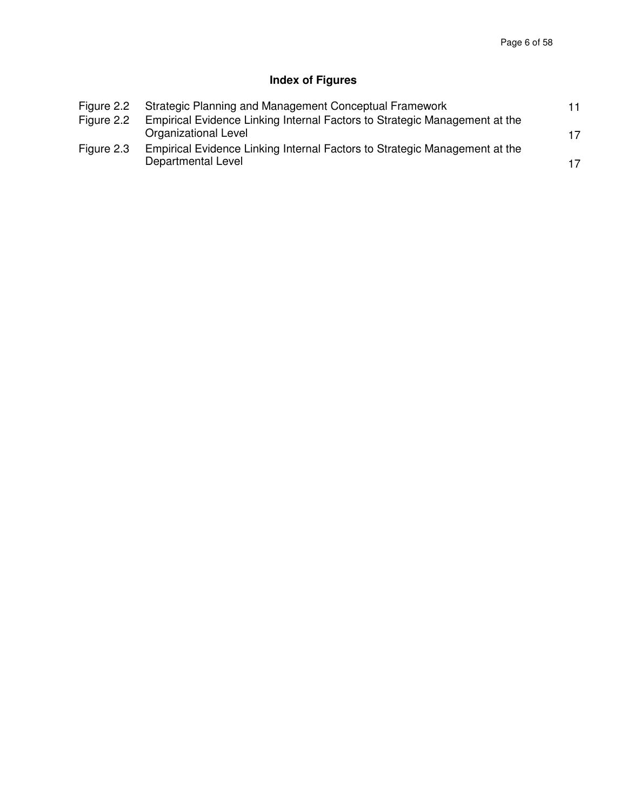# **Index of Figures**

| Figure 2.2 | Strategic Planning and Management Conceptual Framework                     | 11 |
|------------|----------------------------------------------------------------------------|----|
| Figure 2.2 | Empirical Evidence Linking Internal Factors to Strategic Management at the |    |
|            | Organizational Level                                                       | 17 |
| Figure 2.3 | Empirical Evidence Linking Internal Factors to Strategic Management at the |    |
|            | Departmental Level                                                         | 17 |
|            |                                                                            |    |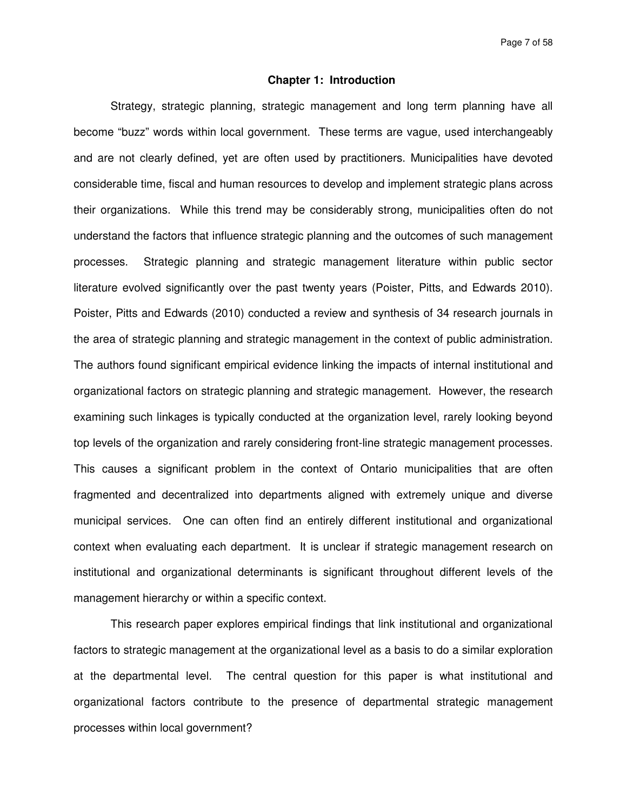Page 7 of 58

### **Chapter 1: Introduction**

Strategy, strategic planning, strategic management and long term planning have all become "buzz" words within local government. These terms are vague, used interchangeably and are not clearly defined, yet are often used by practitioners. Municipalities have devoted considerable time, fiscal and human resources to develop and implement strategic plans across their organizations. While this trend may be considerably strong, municipalities often do not understand the factors that influence strategic planning and the outcomes of such management processes. Strategic planning and strategic management literature within public sector literature evolved significantly over the past twenty years (Poister, Pitts, and Edwards 2010). Poister, Pitts and Edwards (2010) conducted a review and synthesis of 34 research journals in the area of strategic planning and strategic management in the context of public administration. The authors found significant empirical evidence linking the impacts of internal institutional and organizational factors on strategic planning and strategic management. However, the research examining such linkages is typically conducted at the organization level, rarely looking beyond top levels of the organization and rarely considering front-line strategic management processes. This causes a significant problem in the context of Ontario municipalities that are often fragmented and decentralized into departments aligned with extremely unique and diverse municipal services. One can often find an entirely different institutional and organizational context when evaluating each department. It is unclear if strategic management research on institutional and organizational determinants is significant throughout different levels of the management hierarchy or within a specific context.

This research paper explores empirical findings that link institutional and organizational factors to strategic management at the organizational level as a basis to do a similar exploration at the departmental level. The central question for this paper is what institutional and organizational factors contribute to the presence of departmental strategic management processes within local government?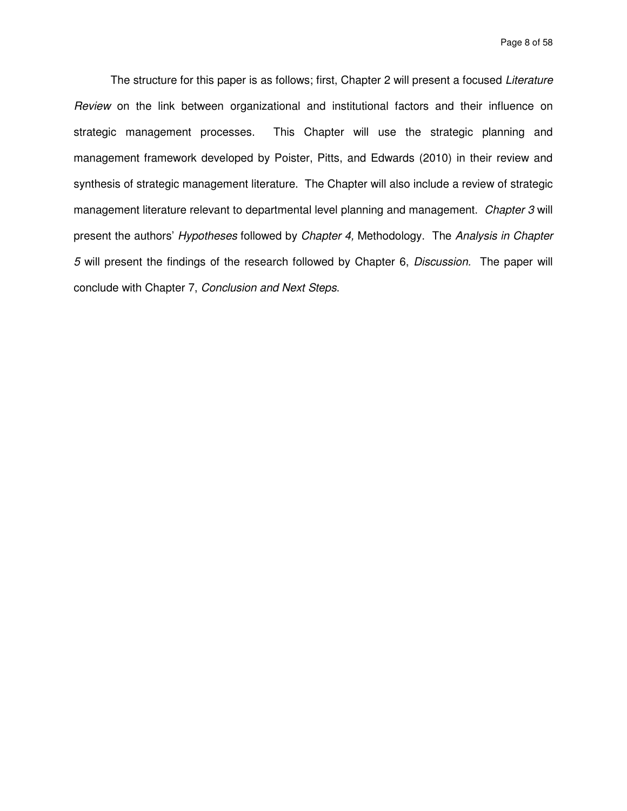Page 8 of 58

The structure for this paper is as follows; first, Chapter 2 will present a focused Literature Review on the link between organizational and institutional factors and their influence on strategic management processes. This Chapter will use the strategic planning and management framework developed by Poister, Pitts, and Edwards (2010) in their review and synthesis of strategic management literature. The Chapter will also include a review of strategic management literature relevant to departmental level planning and management. Chapter 3 will present the authors' Hypotheses followed by Chapter 4, Methodology. The Analysis in Chapter 5 will present the findings of the research followed by Chapter 6, Discussion. The paper will conclude with Chapter 7, Conclusion and Next Steps.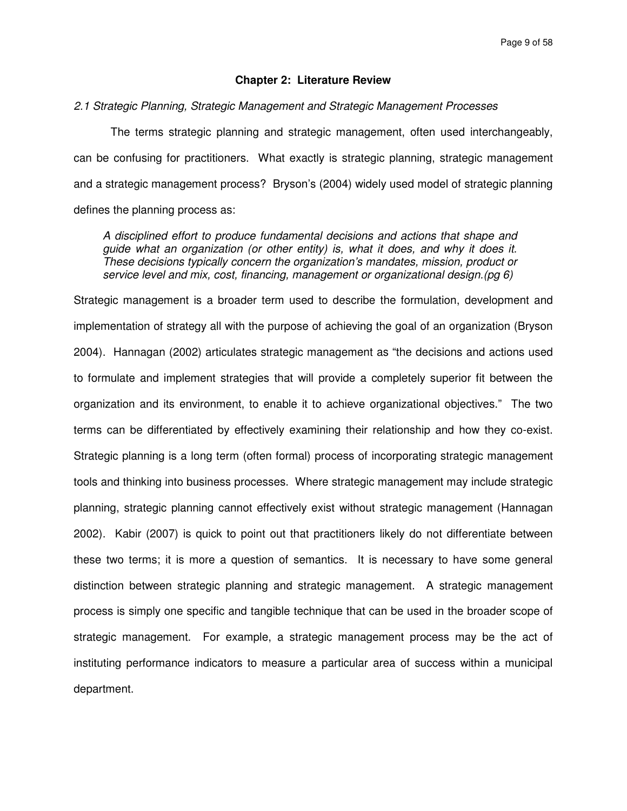### **Chapter 2: Literature Review**

#### 2.1 Strategic Planning, Strategic Management and Strategic Management Processes

The terms strategic planning and strategic management, often used interchangeably, can be confusing for practitioners. What exactly is strategic planning, strategic management and a strategic management process? Bryson's (2004) widely used model of strategic planning defines the planning process as:

A disciplined effort to produce fundamental decisions and actions that shape and guide what an organization (or other entity) is, what it does, and why it does it. These decisions typically concern the organization's mandates, mission, product or service level and mix, cost, financing, management or organizational design.(pg 6)

Strategic management is a broader term used to describe the formulation, development and implementation of strategy all with the purpose of achieving the goal of an organization (Bryson 2004). Hannagan (2002) articulates strategic management as "the decisions and actions used to formulate and implement strategies that will provide a completely superior fit between the organization and its environment, to enable it to achieve organizational objectives." The two terms can be differentiated by effectively examining their relationship and how they co-exist. Strategic planning is a long term (often formal) process of incorporating strategic management tools and thinking into business processes. Where strategic management may include strategic planning, strategic planning cannot effectively exist without strategic management (Hannagan 2002). Kabir (2007) is quick to point out that practitioners likely do not differentiate between these two terms; it is more a question of semantics. It is necessary to have some general distinction between strategic planning and strategic management. A strategic management process is simply one specific and tangible technique that can be used in the broader scope of strategic management. For example, a strategic management process may be the act of instituting performance indicators to measure a particular area of success within a municipal department.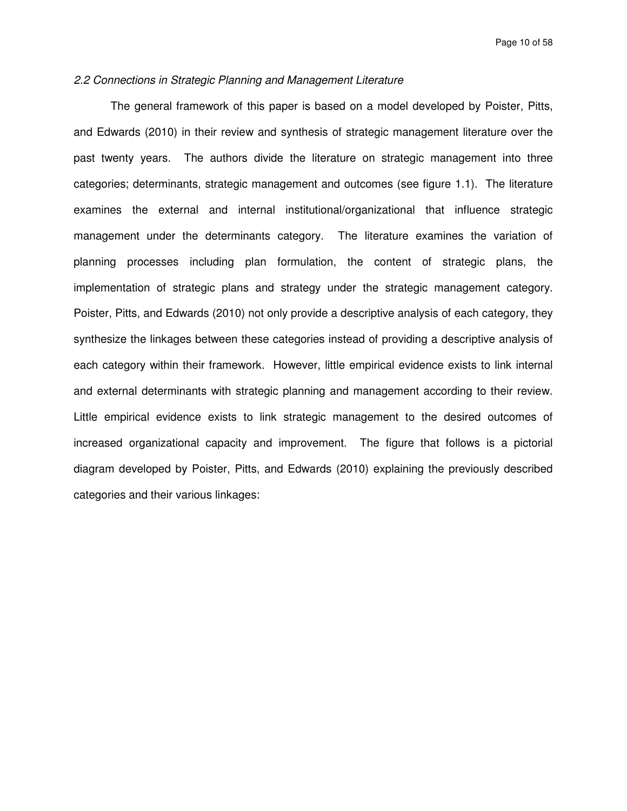## 2.2 Connections in Strategic Planning and Management Literature

The general framework of this paper is based on a model developed by Poister, Pitts, and Edwards (2010) in their review and synthesis of strategic management literature over the past twenty years. The authors divide the literature on strategic management into three categories; determinants, strategic management and outcomes (see figure 1.1). The literature examines the external and internal institutional/organizational that influence strategic management under the determinants category. The literature examines the variation of planning processes including plan formulation, the content of strategic plans, the implementation of strategic plans and strategy under the strategic management category. Poister, Pitts, and Edwards (2010) not only provide a descriptive analysis of each category, they synthesize the linkages between these categories instead of providing a descriptive analysis of each category within their framework. However, little empirical evidence exists to link internal and external determinants with strategic planning and management according to their review. Little empirical evidence exists to link strategic management to the desired outcomes of increased organizational capacity and improvement. The figure that follows is a pictorial diagram developed by Poister, Pitts, and Edwards (2010) explaining the previously described categories and their various linkages: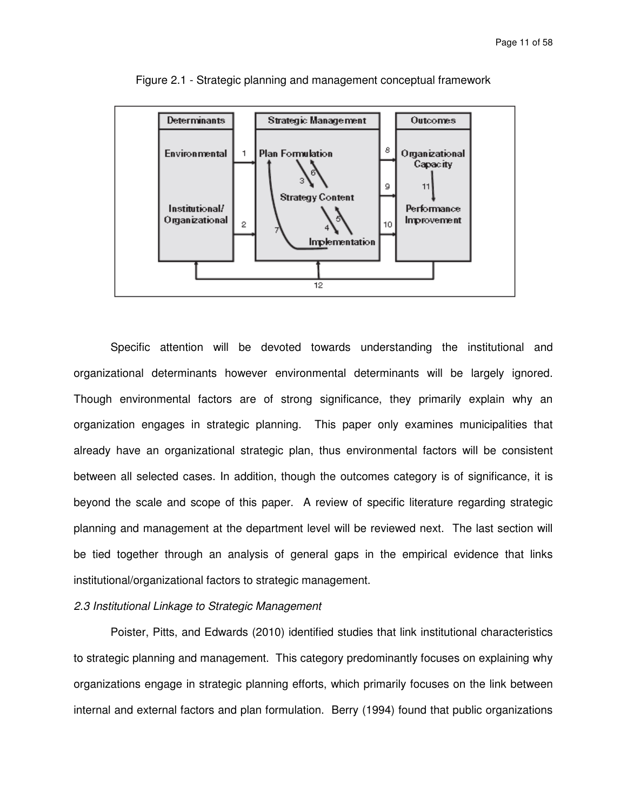

Figure 2.1 - Strategic planning and management conceptual framework

Specific attention will be devoted towards understanding the institutional and organizational determinants however environmental determinants will be largely ignored. Though environmental factors are of strong significance, they primarily explain why an organization engages in strategic planning. This paper only examines municipalities that already have an organizational strategic plan, thus environmental factors will be consistent between all selected cases. In addition, though the outcomes category is of significance, it is beyond the scale and scope of this paper. A review of specific literature regarding strategic planning and management at the department level will be reviewed next. The last section will be tied together through an analysis of general gaps in the empirical evidence that links institutional/organizational factors to strategic management.

#### 2.3 Institutional Linkage to Strategic Management

Poister, Pitts, and Edwards (2010) identified studies that link institutional characteristics to strategic planning and management. This category predominantly focuses on explaining why organizations engage in strategic planning efforts, which primarily focuses on the link between internal and external factors and plan formulation. Berry (1994) found that public organizations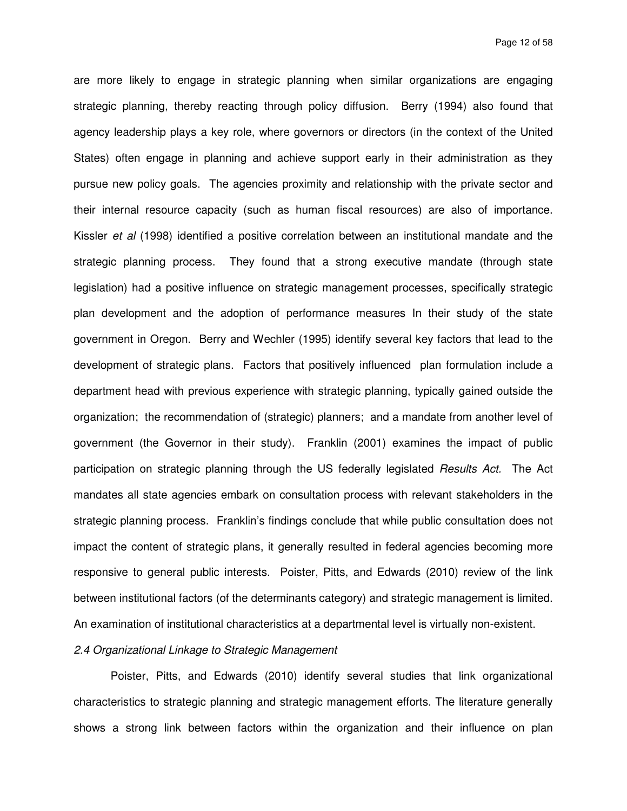are more likely to engage in strategic planning when similar organizations are engaging strategic planning, thereby reacting through policy diffusion. Berry (1994) also found that agency leadership plays a key role, where governors or directors (in the context of the United States) often engage in planning and achieve support early in their administration as they pursue new policy goals. The agencies proximity and relationship with the private sector and their internal resource capacity (such as human fiscal resources) are also of importance. Kissler et al (1998) identified a positive correlation between an institutional mandate and the strategic planning process. They found that a strong executive mandate (through state legislation) had a positive influence on strategic management processes, specifically strategic plan development and the adoption of performance measures In their study of the state government in Oregon. Berry and Wechler (1995) identify several key factors that lead to the development of strategic plans. Factors that positively influenced plan formulation include a department head with previous experience with strategic planning, typically gained outside the organization; the recommendation of (strategic) planners; and a mandate from another level of government (the Governor in their study). Franklin (2001) examines the impact of public participation on strategic planning through the US federally legislated Results Act. The Act mandates all state agencies embark on consultation process with relevant stakeholders in the strategic planning process. Franklin's findings conclude that while public consultation does not impact the content of strategic plans, it generally resulted in federal agencies becoming more responsive to general public interests. Poister, Pitts, and Edwards (2010) review of the link between institutional factors (of the determinants category) and strategic management is limited. An examination of institutional characteristics at a departmental level is virtually non-existent.

## 2.4 Organizational Linkage to Strategic Management

Poister, Pitts, and Edwards (2010) identify several studies that link organizational characteristics to strategic planning and strategic management efforts. The literature generally shows a strong link between factors within the organization and their influence on plan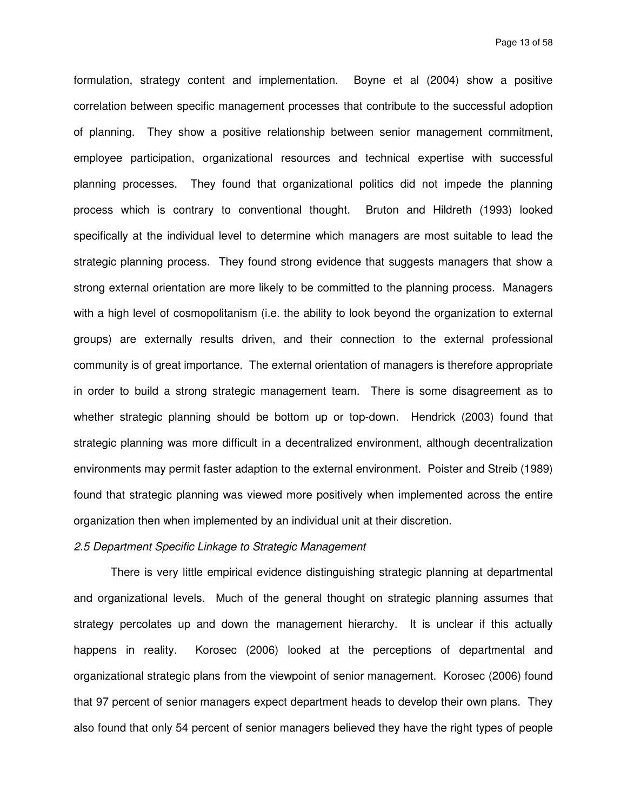formulation, strategy content and implementation. Boyne et al (2004) show a positive correlation between specific management processes that contribute to the successful adoption of planning. They show a positive relationship between senior management commitment, employee participation, organizational resources and technical expertise with successful planning processes. They found that organizational politics did not impede the planning process which is contrary to conventional thought. Bruton and Hildreth (1993) looked specifically at the individual level to determine which managers are most suitable to lead the strategic planning process. They found strong evidence that suggests managers that show a strong external orientation are more likely to be committed to the planning process. Managers with a high level of cosmopolitanism (i.e. the ability to look beyond the organization to external groups) are externally results driven, and their connection to the external professional community is of great importance. The external orientation of managers is therefore appropriate in order to build a strong strategic management team. There is some disagreement as to whether strategic planning should be bottom up or top-down. Hendrick (2003) found that strategic planning was more difficult in a decentralized environment, although decentralization environments may permit faster adaption to the external environment. Poister and Streib (1989) found that strategic planning was viewed more positively when implemented across the entire organization then when implemented by an individual unit at their discretion.

## 2.5 Department Specific Linkage to Strategic Management

There is very little empirical evidence distinguishing strategic planning at departmental and organizational levels. Much of the general thought on strategic planning assumes that strategy percolates up and down the management hierarchy. It is unclear if this actually happens in reality. Korosec (2006) looked at the perceptions of departmental and organizational strategic plans from the viewpoint of senior management. Korosec (2006) found that 97 percent of senior managers expect department heads to develop their own plans. They also found that only 54 percent of senior managers believed they have the right types of people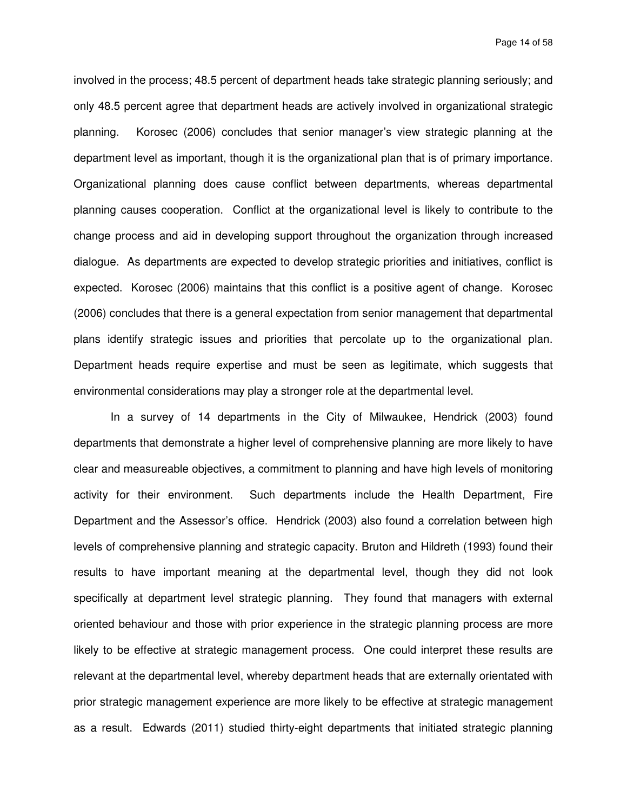Page 14 of 58

involved in the process; 48.5 percent of department heads take strategic planning seriously; and only 48.5 percent agree that department heads are actively involved in organizational strategic planning. Korosec (2006) concludes that senior manager's view strategic planning at the department level as important, though it is the organizational plan that is of primary importance. Organizational planning does cause conflict between departments, whereas departmental planning causes cooperation. Conflict at the organizational level is likely to contribute to the change process and aid in developing support throughout the organization through increased dialogue. As departments are expected to develop strategic priorities and initiatives, conflict is expected. Korosec (2006) maintains that this conflict is a positive agent of change. Korosec (2006) concludes that there is a general expectation from senior management that departmental plans identify strategic issues and priorities that percolate up to the organizational plan. Department heads require expertise and must be seen as legitimate, which suggests that environmental considerations may play a stronger role at the departmental level.

 In a survey of 14 departments in the City of Milwaukee, Hendrick (2003) found departments that demonstrate a higher level of comprehensive planning are more likely to have clear and measureable objectives, a commitment to planning and have high levels of monitoring activity for their environment. Such departments include the Health Department, Fire Department and the Assessor's office. Hendrick (2003) also found a correlation between high levels of comprehensive planning and strategic capacity. Bruton and Hildreth (1993) found their results to have important meaning at the departmental level, though they did not look specifically at department level strategic planning. They found that managers with external oriented behaviour and those with prior experience in the strategic planning process are more likely to be effective at strategic management process. One could interpret these results are relevant at the departmental level, whereby department heads that are externally orientated with prior strategic management experience are more likely to be effective at strategic management as a result. Edwards (2011) studied thirty-eight departments that initiated strategic planning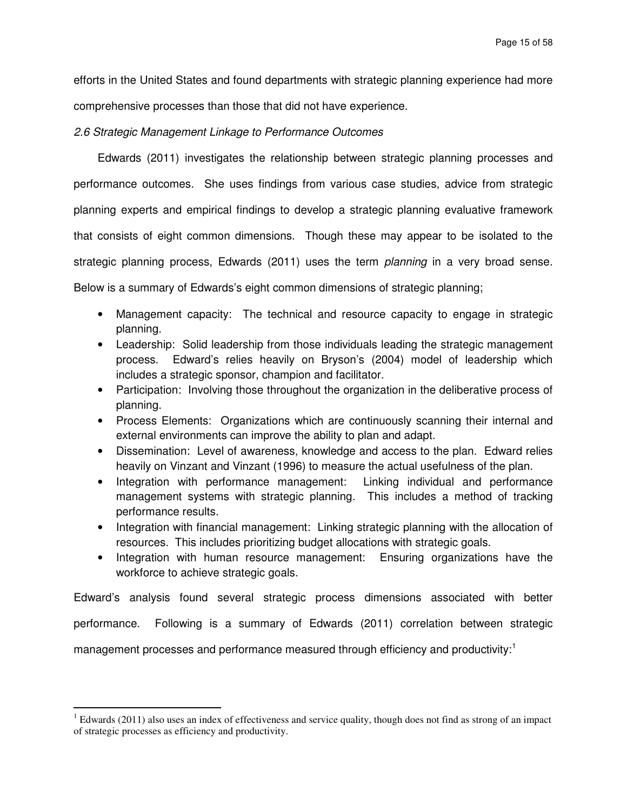efforts in the United States and found departments with strategic planning experience had more comprehensive processes than those that did not have experience.

## 2.6 Strategic Management Linkage to Performance Outcomes

Edwards (2011) investigates the relationship between strategic planning processes and performance outcomes. She uses findings from various case studies, advice from strategic planning experts and empirical findings to develop a strategic planning evaluative framework that consists of eight common dimensions. Though these may appear to be isolated to the strategic planning process, Edwards (2011) uses the term *planning* in a very broad sense. Below is a summary of Edwards's eight common dimensions of strategic planning;

- Management capacity: The technical and resource capacity to engage in strategic planning.
- Leadership: Solid leadership from those individuals leading the strategic management process. Edward's relies heavily on Bryson's (2004) model of leadership which includes a strategic sponsor, champion and facilitator.
- Participation: Involving those throughout the organization in the deliberative process of planning.
- Process Elements: Organizations which are continuously scanning their internal and external environments can improve the ability to plan and adapt.
- Dissemination: Level of awareness, knowledge and access to the plan. Edward relies heavily on Vinzant and Vinzant (1996) to measure the actual usefulness of the plan.
- Integration with performance management: Linking individual and performance management systems with strategic planning. This includes a method of tracking performance results.
- Integration with financial management: Linking strategic planning with the allocation of resources. This includes prioritizing budget allocations with strategic goals.
- Integration with human resource management: Ensuring organizations have the workforce to achieve strategic goals.

Edward's analysis found several strategic process dimensions associated with better performance. Following is a summary of Edwards (2011) correlation between strategic management processes and performance measured through efficiency and productivity:<sup>1</sup>

 $\overline{a}$ 

 $1$  Edwards (2011) also uses an index of effectiveness and service quality, though does not find as strong of an impact of strategic processes as efficiency and productivity.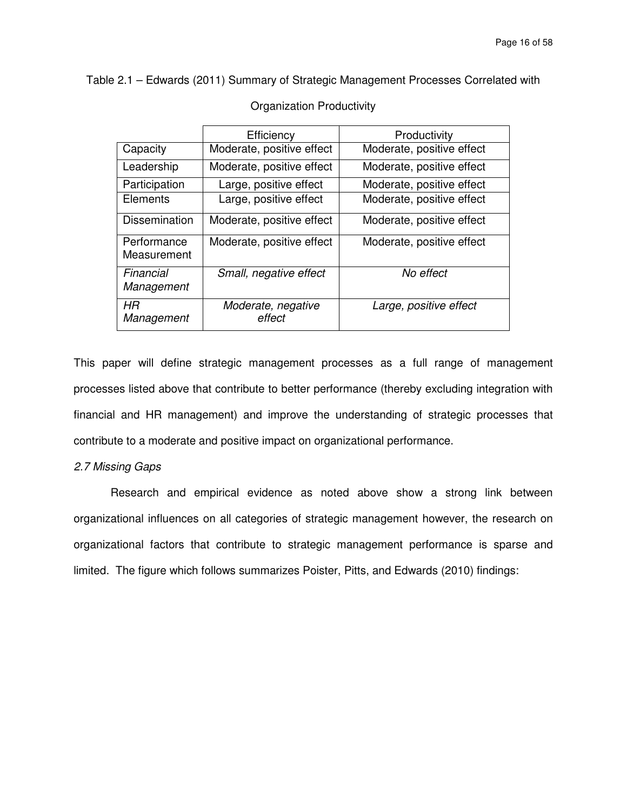Table 2.1 – Edwards (2011) Summary of Strategic Management Processes Correlated with

|                            | Efficiency                   | Productivity              |
|----------------------------|------------------------------|---------------------------|
| Capacity                   | Moderate, positive effect    | Moderate, positive effect |
| Leadership                 | Moderate, positive effect    | Moderate, positive effect |
| Participation              | Large, positive effect       | Moderate, positive effect |
| Elements                   | Large, positive effect       | Moderate, positive effect |
| <b>Dissemination</b>       | Moderate, positive effect    | Moderate, positive effect |
| Performance<br>Measurement | Moderate, positive effect    | Moderate, positive effect |
| Financial<br>Management    | Small, negative effect       | No effect                 |
| HR<br>Management           | Moderate, negative<br>effect | Large, positive effect    |

### Organization Productivity

This paper will define strategic management processes as a full range of management processes listed above that contribute to better performance (thereby excluding integration with financial and HR management) and improve the understanding of strategic processes that contribute to a moderate and positive impact on organizational performance.

# 2.7 Missing Gaps

Research and empirical evidence as noted above show a strong link between organizational influences on all categories of strategic management however, the research on organizational factors that contribute to strategic management performance is sparse and limited. The figure which follows summarizes Poister, Pitts, and Edwards (2010) findings: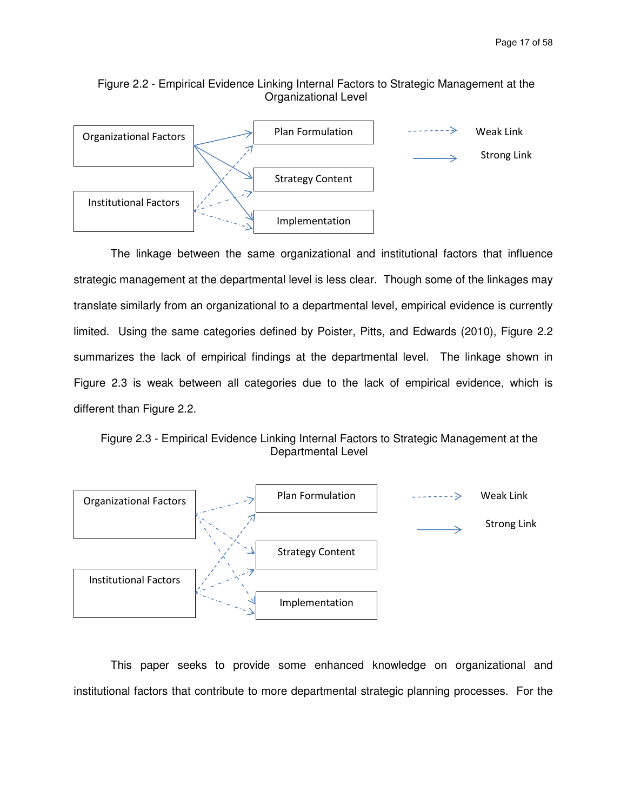# Figure 2.2 - Empirical Evidence Linking Internal Factors to Strategic Management at the Organizational Level



The linkage between the same organizational and institutional factors that influence strategic management at the departmental level is less clear. Though some of the linkages may translate similarly from an organizational to a departmental level, empirical evidence is currently limited. Using the same categories defined by Poister, Pitts, and Edwards (2010), Figure 2.2 summarizes the lack of empirical findings at the departmental level. The linkage shown in Figure 2.3 is weak between all categories due to the lack of empirical evidence, which is different than Figure 2.2.

Figure 2.3 - Empirical Evidence Linking Internal Factors to Strategic Management at the Departmental Level



This paper seeks to provide some enhanced knowledge on organizational and institutional factors that contribute to more departmental strategic planning processes. For the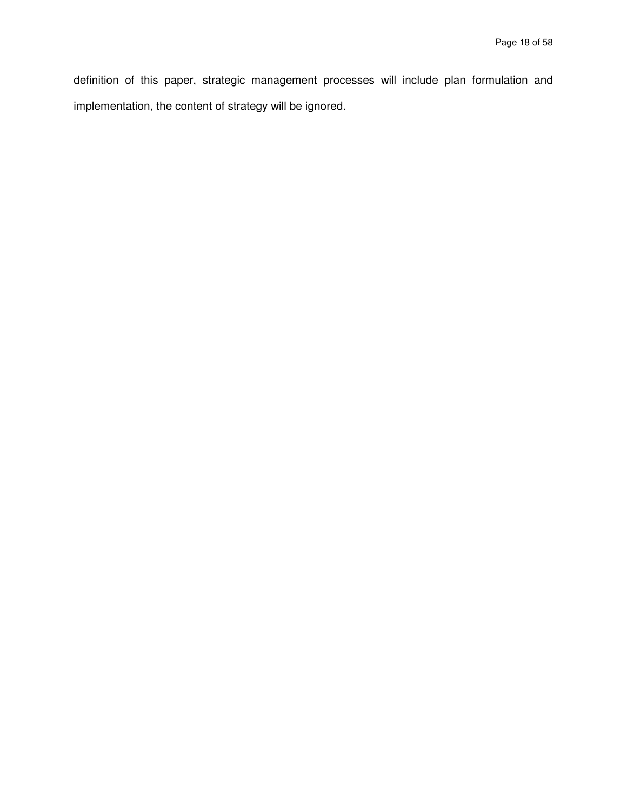definition of this paper, strategic management processes will include plan formulation and implementation, the content of strategy will be ignored.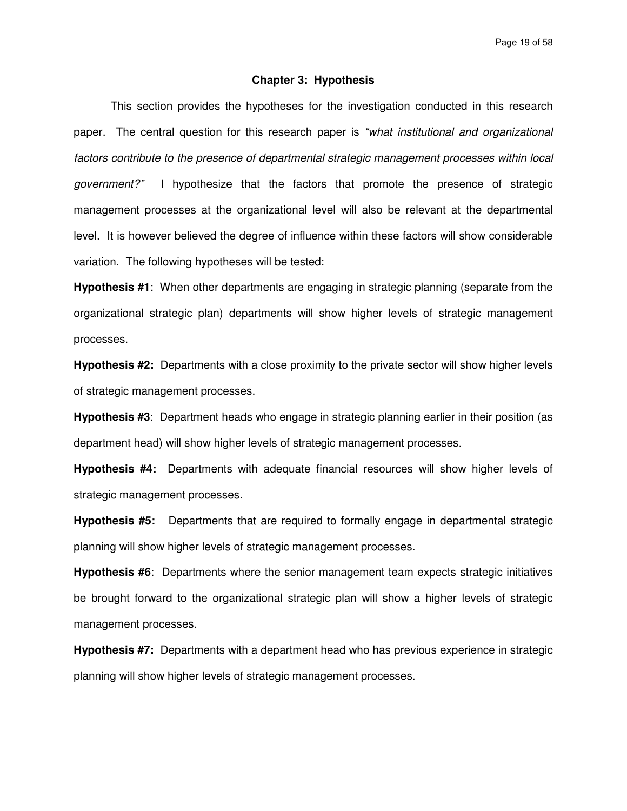Page 19 of 58

### **Chapter 3: Hypothesis**

This section provides the hypotheses for the investigation conducted in this research paper. The central question for this research paper is "what institutional and organizational factors contribute to the presence of departmental strategic management processes within local government?" I hypothesize that the factors that promote the presence of strategic management processes at the organizational level will also be relevant at the departmental level. It is however believed the degree of influence within these factors will show considerable variation. The following hypotheses will be tested:

**Hypothesis #1**: When other departments are engaging in strategic planning (separate from the organizational strategic plan) departments will show higher levels of strategic management processes.

**Hypothesis #2:** Departments with a close proximity to the private sector will show higher levels of strategic management processes.

**Hypothesis #3**: Department heads who engage in strategic planning earlier in their position (as department head) will show higher levels of strategic management processes.

**Hypothesis #4:** Departments with adequate financial resources will show higher levels of strategic management processes.

**Hypothesis #5:** Departments that are required to formally engage in departmental strategic planning will show higher levels of strategic management processes.

**Hypothesis #6**: Departments where the senior management team expects strategic initiatives be brought forward to the organizational strategic plan will show a higher levels of strategic management processes.

**Hypothesis #7:** Departments with a department head who has previous experience in strategic planning will show higher levels of strategic management processes.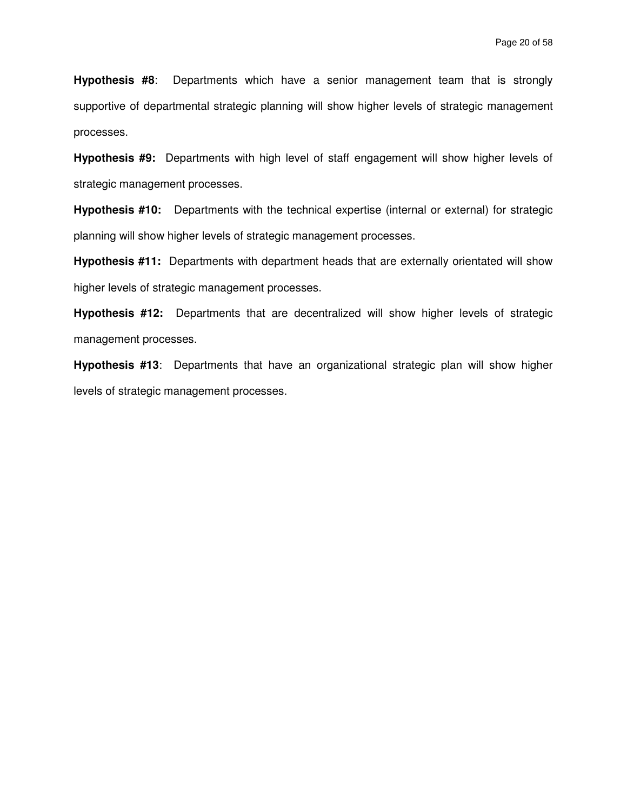**Hypothesis #8**: Departments which have a senior management team that is strongly supportive of departmental strategic planning will show higher levels of strategic management processes.

**Hypothesis #9:** Departments with high level of staff engagement will show higher levels of strategic management processes.

**Hypothesis #10:** Departments with the technical expertise (internal or external) for strategic planning will show higher levels of strategic management processes.

**Hypothesis #11:** Departments with department heads that are externally orientated will show higher levels of strategic management processes.

**Hypothesis #12:** Departments that are decentralized will show higher levels of strategic management processes.

**Hypothesis #13**: Departments that have an organizational strategic plan will show higher levels of strategic management processes.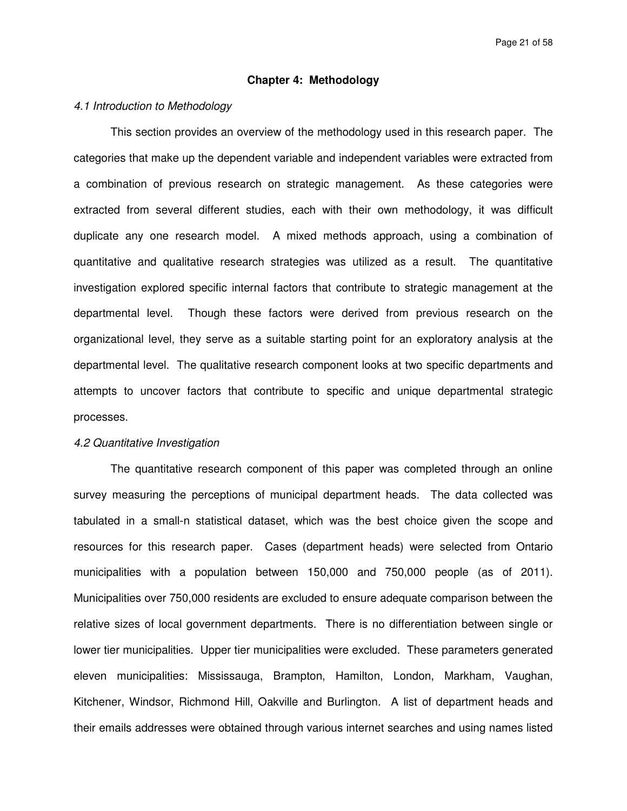### **Chapter 4: Methodology**

### 4.1 Introduction to Methodology

This section provides an overview of the methodology used in this research paper. The categories that make up the dependent variable and independent variables were extracted from a combination of previous research on strategic management. As these categories were extracted from several different studies, each with their own methodology, it was difficult duplicate any one research model. A mixed methods approach, using a combination of quantitative and qualitative research strategies was utilized as a result. The quantitative investigation explored specific internal factors that contribute to strategic management at the departmental level. Though these factors were derived from previous research on the organizational level, they serve as a suitable starting point for an exploratory analysis at the departmental level. The qualitative research component looks at two specific departments and attempts to uncover factors that contribute to specific and unique departmental strategic processes.

#### 4.2 Quantitative Investigation

The quantitative research component of this paper was completed through an online survey measuring the perceptions of municipal department heads. The data collected was tabulated in a small-n statistical dataset, which was the best choice given the scope and resources for this research paper. Cases (department heads) were selected from Ontario municipalities with a population between 150,000 and 750,000 people (as of 2011). Municipalities over 750,000 residents are excluded to ensure adequate comparison between the relative sizes of local government departments. There is no differentiation between single or lower tier municipalities. Upper tier municipalities were excluded. These parameters generated eleven municipalities: Mississauga, Brampton, Hamilton, London, Markham, Vaughan, Kitchener, Windsor, Richmond Hill, Oakville and Burlington. A list of department heads and their emails addresses were obtained through various internet searches and using names listed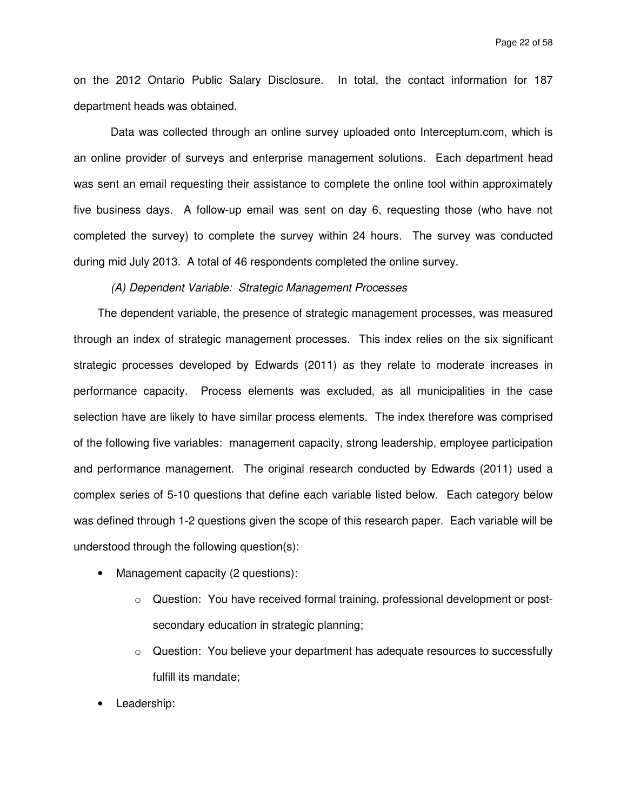on the 2012 Ontario Public Salary Disclosure. In total, the contact information for 187 department heads was obtained.

 Data was collected through an online survey uploaded onto Interceptum.com, which is an online provider of surveys and enterprise management solutions. Each department head was sent an email requesting their assistance to complete the online tool within approximately five business days. A follow-up email was sent on day 6, requesting those (who have not completed the survey) to complete the survey within 24 hours. The survey was conducted during mid July 2013. A total of 46 respondents completed the online survey.

# (A) Dependent Variable: Strategic Management Processes

The dependent variable, the presence of strategic management processes, was measured through an index of strategic management processes. This index relies on the six significant strategic processes developed by Edwards (2011) as they relate to moderate increases in performance capacity. Process elements was excluded, as all municipalities in the case selection have are likely to have similar process elements. The index therefore was comprised of the following five variables: management capacity, strong leadership, employee participation and performance management. The original research conducted by Edwards (2011) used a complex series of 5-10 questions that define each variable listed below. Each category below was defined through 1-2 questions given the scope of this research paper. Each variable will be understood through the following question(s):

- Management capacity (2 questions):
	- $\circ$  Question: You have received formal training, professional development or postsecondary education in strategic planning;
	- $\circ$  Question: You believe your department has adequate resources to successfully fulfill its mandate;
- Leadership: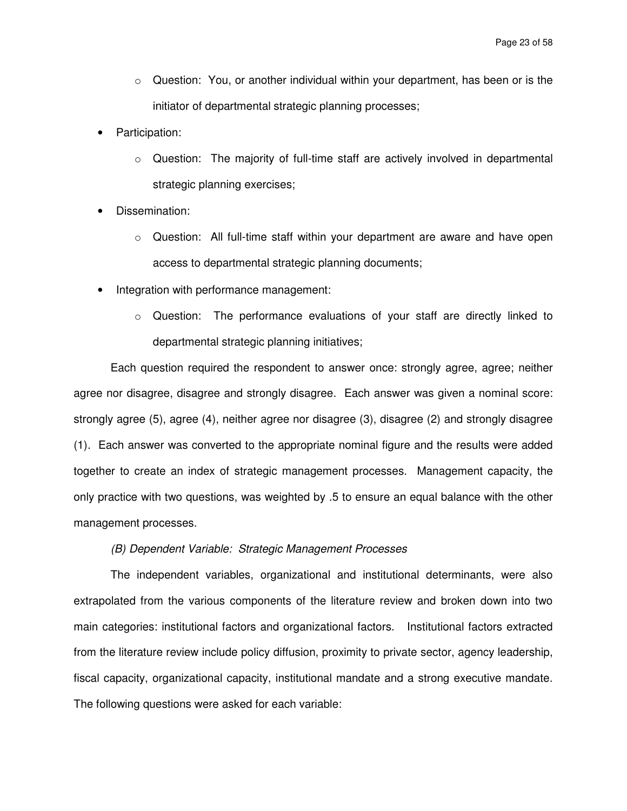- $\circ$  Question: You, or another individual within your department, has been or is the initiator of departmental strategic planning processes;
- Participation:
	- $\circ$  Question: The majority of full-time staff are actively involved in departmental strategic planning exercises;
- Dissemination:
	- $\circ$  Question: All full-time staff within your department are aware and have open access to departmental strategic planning documents;
- Integration with performance management:
	- o Question: The performance evaluations of your staff are directly linked to departmental strategic planning initiatives;

 Each question required the respondent to answer once: strongly agree, agree; neither agree nor disagree, disagree and strongly disagree. Each answer was given a nominal score: strongly agree (5), agree (4), neither agree nor disagree (3), disagree (2) and strongly disagree (1). Each answer was converted to the appropriate nominal figure and the results were added together to create an index of strategic management processes. Management capacity, the only practice with two questions, was weighted by .5 to ensure an equal balance with the other management processes.

### (B) Dependent Variable: Strategic Management Processes

The independent variables, organizational and institutional determinants, were also extrapolated from the various components of the literature review and broken down into two main categories: institutional factors and organizational factors. Institutional factors extracted from the literature review include policy diffusion, proximity to private sector, agency leadership, fiscal capacity, organizational capacity, institutional mandate and a strong executive mandate. The following questions were asked for each variable: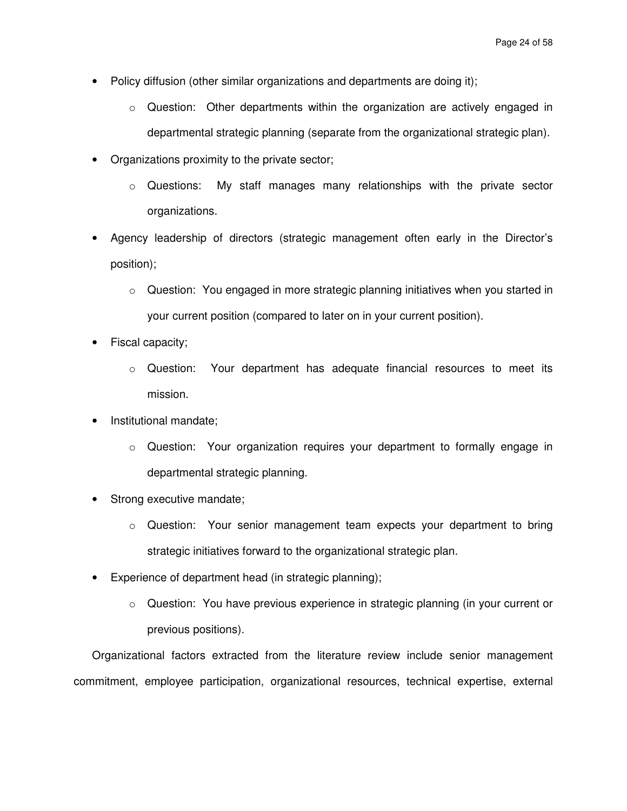- Policy diffusion (other similar organizations and departments are doing it);
	- o Question: Other departments within the organization are actively engaged in departmental strategic planning (separate from the organizational strategic plan).
- Organizations proximity to the private sector;
	- o Questions: My staff manages many relationships with the private sector organizations.
- Agency leadership of directors (strategic management often early in the Director's position);
	- $\circ$  Question: You engaged in more strategic planning initiatives when you started in your current position (compared to later on in your current position).
- Fiscal capacity;
	- $\circ$  Question: Your department has adequate financial resources to meet its mission.
- Institutional mandate;
	- $\circ$  Question: Your organization requires your department to formally engage in departmental strategic planning.
- Strong executive mandate;
	- $\circ$  Question: Your senior management team expects your department to bring strategic initiatives forward to the organizational strategic plan.
- Experience of department head (in strategic planning);
	- $\circ$  Question: You have previous experience in strategic planning (in your current or previous positions).

Organizational factors extracted from the literature review include senior management commitment, employee participation, organizational resources, technical expertise, external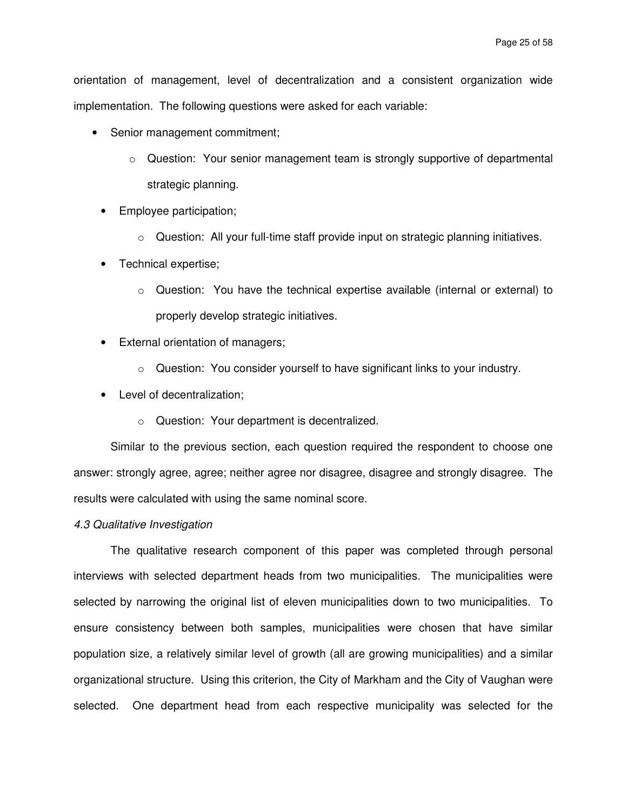orientation of management, level of decentralization and a consistent organization wide implementation. The following questions were asked for each variable:

- Senior management commitment;
	- $\circ$  Question: Your senior management team is strongly supportive of departmental strategic planning.
	- Employee participation;
		- $\circ$  Question: All your full-time staff provide input on strategic planning initiatives.
	- Technical expertise;
		- $\circ$  Question: You have the technical expertise available (internal or external) to properly develop strategic initiatives.
	- External orientation of managers;
		- $\circ$  Question: You consider yourself to have significant links to your industry.
	- Level of decentralization;
		- o Question: Your department is decentralized.

Similar to the previous section, each question required the respondent to choose one answer: strongly agree, agree; neither agree nor disagree, disagree and strongly disagree. The results were calculated with using the same nominal score.

### 4.3 Qualitative Investigation

The qualitative research component of this paper was completed through personal interviews with selected department heads from two municipalities. The municipalities were selected by narrowing the original list of eleven municipalities down to two municipalities. To ensure consistency between both samples, municipalities were chosen that have similar population size, a relatively similar level of growth (all are growing municipalities) and a similar organizational structure. Using this criterion, the City of Markham and the City of Vaughan were selected. One department head from each respective municipality was selected for the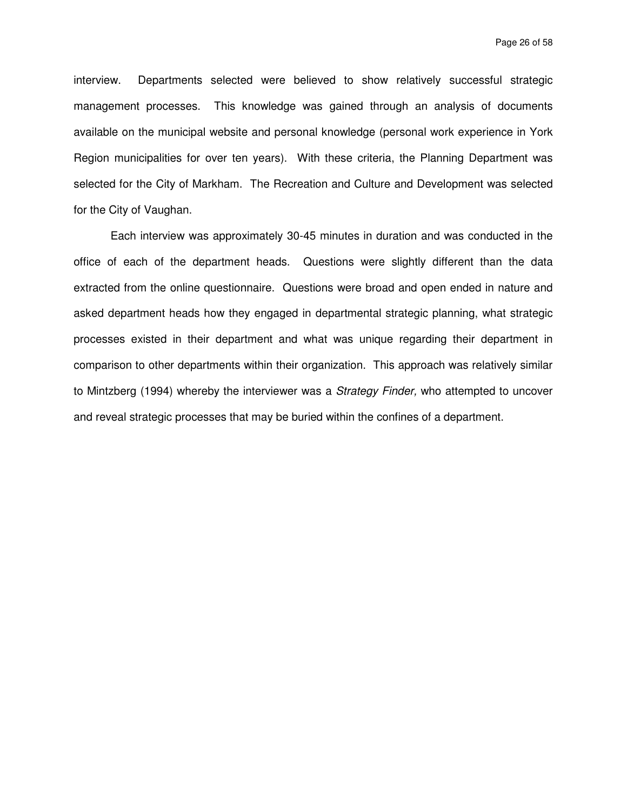interview. Departments selected were believed to show relatively successful strategic management processes. This knowledge was gained through an analysis of documents available on the municipal website and personal knowledge (personal work experience in York Region municipalities for over ten years). With these criteria, the Planning Department was selected for the City of Markham. The Recreation and Culture and Development was selected for the City of Vaughan.

Each interview was approximately 30-45 minutes in duration and was conducted in the office of each of the department heads. Questions were slightly different than the data extracted from the online questionnaire. Questions were broad and open ended in nature and asked department heads how they engaged in departmental strategic planning, what strategic processes existed in their department and what was unique regarding their department in comparison to other departments within their organization. This approach was relatively similar to Mintzberg (1994) whereby the interviewer was a Strategy Finder, who attempted to uncover and reveal strategic processes that may be buried within the confines of a department.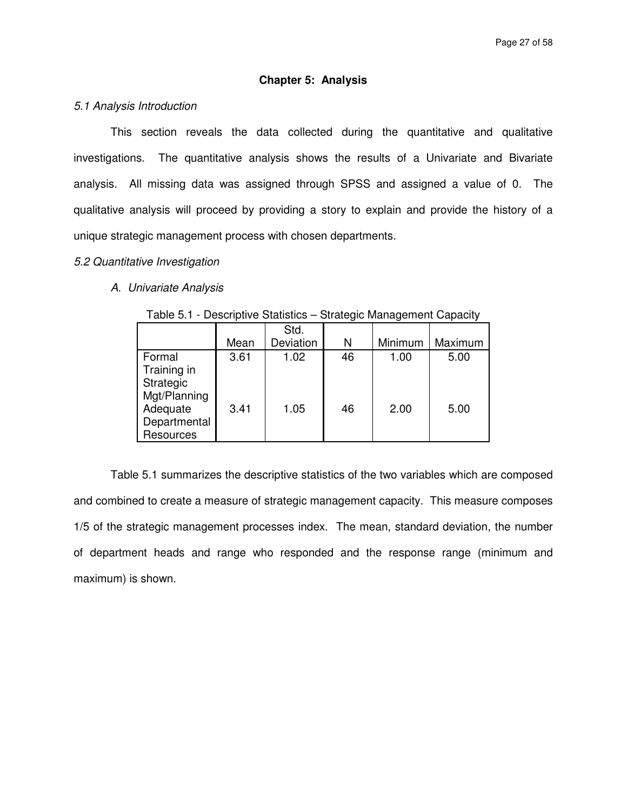# **Chapter 5: Analysis**

### 5.1 Analysis Introduction

This section reveals the data collected during the quantitative and qualitative investigations. The quantitative analysis shows the results of a Univariate and Bivariate analysis. All missing data was assigned through SPSS and assigned a value of 0. The qualitative analysis will proceed by providing a story to explain and provide the history of a unique strategic management process with chosen departments.

#### 5.2 Quantitative Investigation

# A. Univariate Analysis

|  |  |  |  | Table 5.1 - Descriptive Statistics – Strategic Management Capacity |  |  |  |
|--|--|--|--|--------------------------------------------------------------------|--|--|--|
|  |  |  |  |                                                                    |  |  |  |

|              |      | Std.      |    |         |         |
|--------------|------|-----------|----|---------|---------|
|              | Mean | Deviation | N  | Minimum | Maximum |
| Formal       | 3.61 | 1.02      | 46 | 1.00    | 5.00    |
| Training in  |      |           |    |         |         |
| Strategic    |      |           |    |         |         |
| Mgt/Planning |      |           |    |         |         |
| Adequate     | 3.41 | 1.05      | 46 | 2.00    | 5.00    |
| Departmental |      |           |    |         |         |
| Resources    |      |           |    |         |         |

Table 5.1 summarizes the descriptive statistics of the two variables which are composed and combined to create a measure of strategic management capacity. This measure composes 1/5 of the strategic management processes index. The mean, standard deviation, the number of department heads and range who responded and the response range (minimum and maximum) is shown.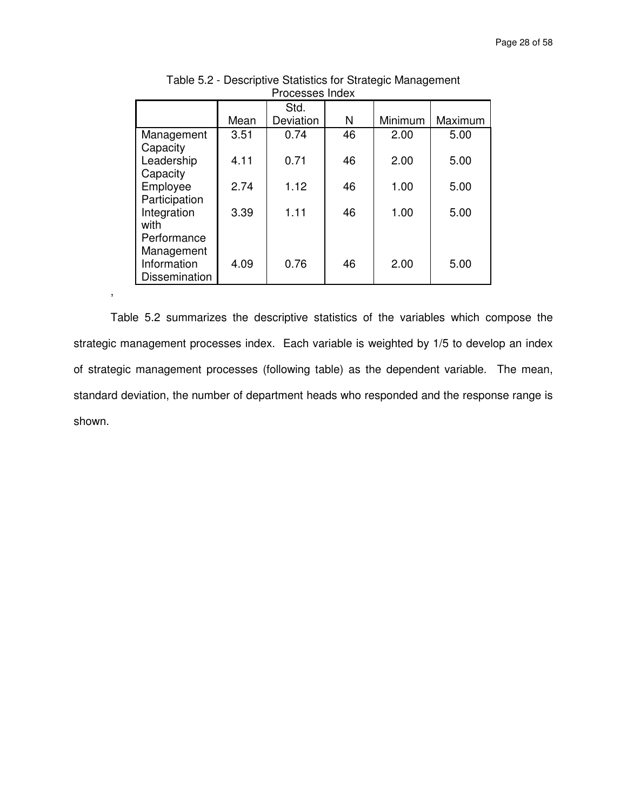|                                                                  | Mean | Std.<br>Deviation | N  | Minimum | Maximum |
|------------------------------------------------------------------|------|-------------------|----|---------|---------|
| Management                                                       | 3.51 | 0.74              | 46 | 2.00    | 5.00    |
| Capacity<br>Leadership<br>Capacity                               | 4.11 | 0.71              | 46 | 2.00    | 5.00    |
| Employee                                                         | 2.74 | 1.12              | 46 | 1.00    | 5.00    |
| Participation<br>Integration<br>with                             | 3.39 | 1.11              | 46 | 1.00    | 5.00    |
| Performance<br>Management<br>Information<br><b>Dissemination</b> | 4.09 | 0.76              | 46 | 2.00    | 5.00    |

Table 5.2 - Descriptive Statistics for Strategic Management Processes Index

Table 5.2 summarizes the descriptive statistics of the variables which compose the strategic management processes index. Each variable is weighted by 1/5 to develop an index of strategic management processes (following table) as the dependent variable. The mean, standard deviation, the number of department heads who responded and the response range is shown.

,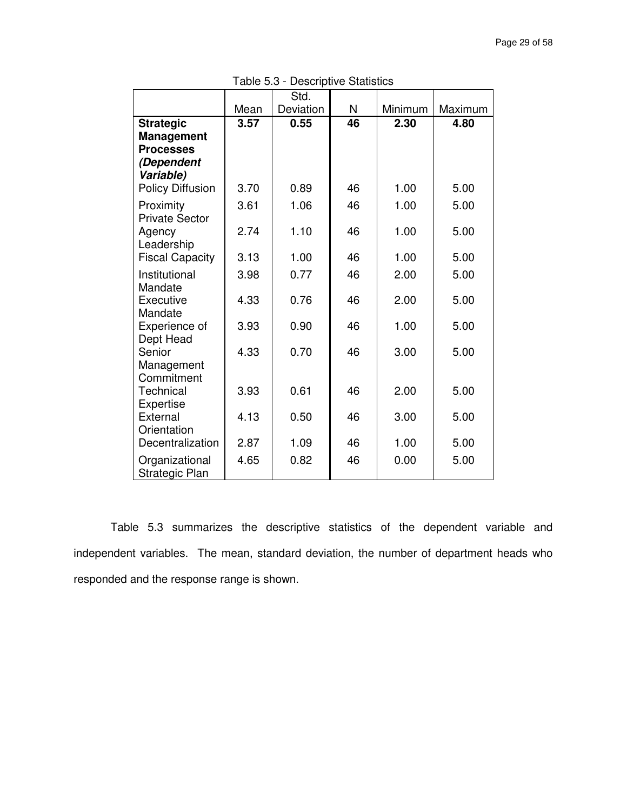|                                      |      | Std.      |    |         |         |
|--------------------------------------|------|-----------|----|---------|---------|
|                                      | Mean | Deviation | N  | Minimum | Maximum |
| <b>Strategic</b>                     | 3.57 | 0.55      | 46 | 2.30    | 4.80    |
| <b>Management</b>                    |      |           |    |         |         |
| <b>Processes</b>                     |      |           |    |         |         |
| (Dependent                           |      |           |    |         |         |
| Variable)                            |      |           |    |         |         |
| <b>Policy Diffusion</b>              | 3.70 | 0.89      | 46 | 1.00    | 5.00    |
| Proximity<br><b>Private Sector</b>   | 3.61 | 1.06      | 46 | 1.00    | 5.00    |
| Agency                               | 2.74 | 1.10      | 46 | 1.00    | 5.00    |
| Leadership<br><b>Fiscal Capacity</b> | 3.13 | 1.00      | 46 | 1.00    | 5.00    |
| Institutional                        | 3.98 | 0.77      | 46 | 2.00    | 5.00    |
| Mandate                              |      |           |    |         |         |
| Executive<br>Mandate                 | 4.33 | 0.76      | 46 | 2.00    | 5.00    |
| Experience of                        | 3.93 | 0.90      | 46 | 1.00    | 5.00    |
| Dept Head                            |      |           |    |         |         |
| Senior<br>Management                 | 4.33 | 0.70      | 46 | 3.00    | 5.00    |
| Commitment                           |      |           |    |         |         |
| Technical                            | 3.93 | 0.61      | 46 | 2.00    | 5.00    |
| Expertise                            |      |           |    |         |         |
| External<br>Orientation              | 4.13 | 0.50      | 46 | 3.00    | 5.00    |
| Decentralization                     | 2.87 | 1.09      | 46 | 1.00    | 5.00    |
| Organizational<br>Strategic Plan     | 4.65 | 0.82      | 46 | 0.00    | 5.00    |

Table 5.3 - Descriptive Statistics

Table 5.3 summarizes the descriptive statistics of the dependent variable and independent variables. The mean, standard deviation, the number of department heads who responded and the response range is shown.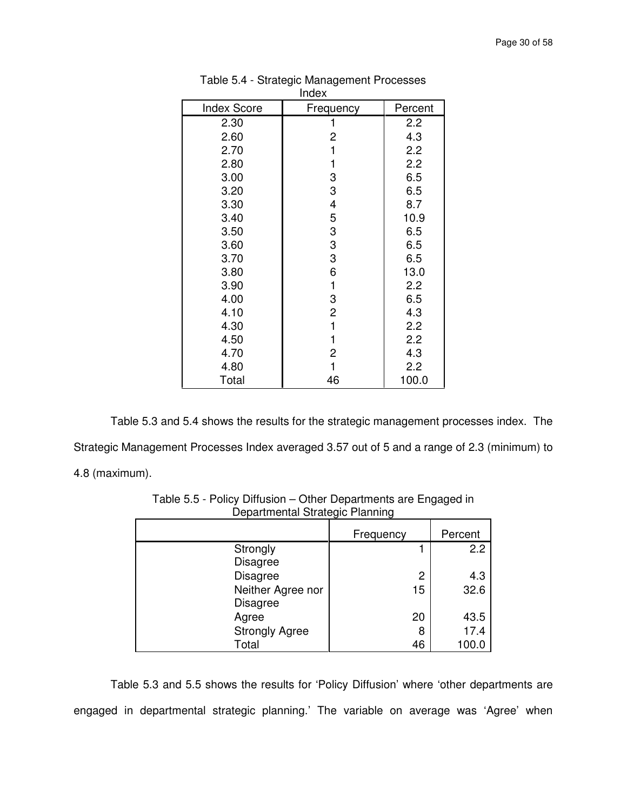|                    | 11 IUCA        |         |  |  |  |
|--------------------|----------------|---------|--|--|--|
| <b>Index Score</b> | Frequency      | Percent |  |  |  |
| 2.30               |                | 2.2     |  |  |  |
| 2.60               | 2              | 4.3     |  |  |  |
| 2.70               | 1              | 2.2     |  |  |  |
| 2.80               | 1              | 2.2     |  |  |  |
| 3.00               | 3              | 6.5     |  |  |  |
| 3.20               | 3              | 6.5     |  |  |  |
| 3.30               | 4              | 8.7     |  |  |  |
| 3.40               | 5              | 10.9    |  |  |  |
| 3.50               | 3              | 6.5     |  |  |  |
| 3.60               | 3              | 6.5     |  |  |  |
| 3.70               | 3              | 6.5     |  |  |  |
| 3.80               | 6              | 13.0    |  |  |  |
| 3.90               | 1              | 2.2     |  |  |  |
| 4.00               | 3              | 6.5     |  |  |  |
| 4.10               | $\overline{c}$ | 4.3     |  |  |  |
| 4.30               | 1              | 2.2     |  |  |  |
| 4.50               | 1              | 2.2     |  |  |  |
| 4.70               | 2              | 4.3     |  |  |  |
| 4.80               | 1              | 2.2     |  |  |  |
| Total              | 46             | 100.0   |  |  |  |

| Table 5.4 - Strategic Management Processes |
|--------------------------------------------|
| Index                                      |

Table 5.3 and 5.4 shows the results for the strategic management processes index. The Strategic Management Processes Index averaged 3.57 out of 5 and a range of 2.3 (minimum) to 4.8 (maximum).

|                       | . ت       |         |
|-----------------------|-----------|---------|
|                       | Frequency | Percent |
| Strongly              |           | 2.2     |
| <b>Disagree</b>       |           |         |
| <b>Disagree</b>       | 2         | 4.3     |
| Neither Agree nor     | 15        | 32.6    |
| <b>Disagree</b>       |           |         |
| Agree                 | 20        | 43.5    |
| <b>Strongly Agree</b> | 8         | 17.4    |
| Total                 | 46        | 100.0   |

Table 5.5 - Policy Diffusion – Other Departments are Engaged in Departmental Strategic Planning

Table 5.3 and 5.5 shows the results for 'Policy Diffusion' where 'other departments are engaged in departmental strategic planning.' The variable on average was 'Agree' when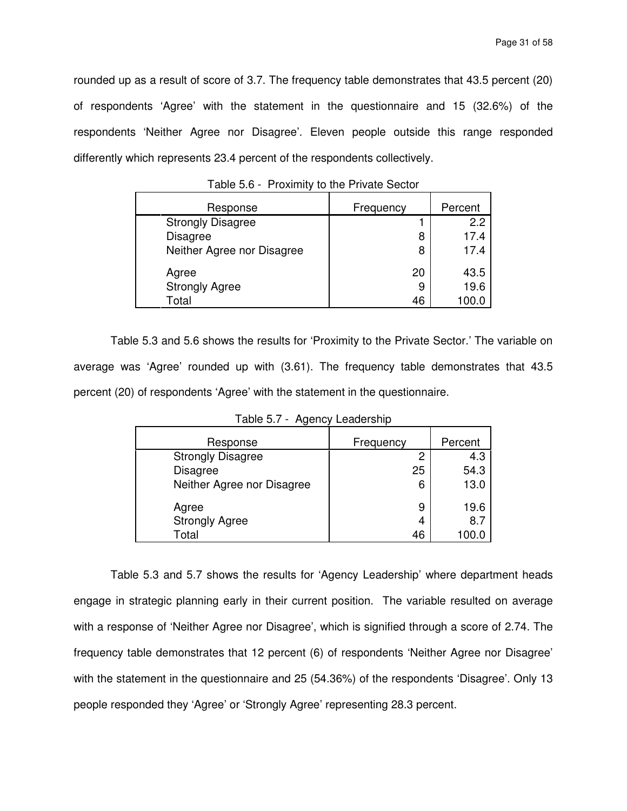rounded up as a result of score of 3.7. The frequency table demonstrates that 43.5 percent (20) of respondents 'Agree' with the statement in the questionnaire and 15 (32.6%) of the respondents 'Neither Agree nor Disagree'. Eleven people outside this range responded differently which represents 23.4 percent of the respondents collectively.

| Response                   | Frequency | Percent |
|----------------------------|-----------|---------|
| <b>Strongly Disagree</b>   |           | 22      |
| <b>Disagree</b>            | 8         | 17.4    |
| Neither Agree nor Disagree | 8         | 17.4    |
| Agree                      | 20        | 43.5    |
| <b>Strongly Agree</b>      | 9         | 19.6    |
| Total                      | 46        |         |

Table 5.6 - Proximity to the Private Sector

Table 5.3 and 5.6 shows the results for 'Proximity to the Private Sector.' The variable on average was 'Agree' rounded up with (3.61). The frequency table demonstrates that 43.5 percent (20) of respondents 'Agree' with the statement in the questionnaire.

| Response                   | Frequency | Percent |
|----------------------------|-----------|---------|
| <b>Strongly Disagree</b>   | 2         | 4.3     |
| <b>Disagree</b>            | 25        | 54.3    |
| Neither Agree nor Disagree | 6         | 13.0    |
| Agree                      | 9         | 19.6    |
| <b>Strongly Agree</b>      | 4         | 8.7     |
| Total                      | 46        |         |

Table 5.7 - Agency Leadership

Table 5.3 and 5.7 shows the results for 'Agency Leadership' where department heads engage in strategic planning early in their current position. The variable resulted on average with a response of 'Neither Agree nor Disagree', which is signified through a score of 2.74. The frequency table demonstrates that 12 percent (6) of respondents 'Neither Agree nor Disagree' with the statement in the questionnaire and 25 (54.36%) of the respondents 'Disagree'. Only 13 people responded they 'Agree' or 'Strongly Agree' representing 28.3 percent.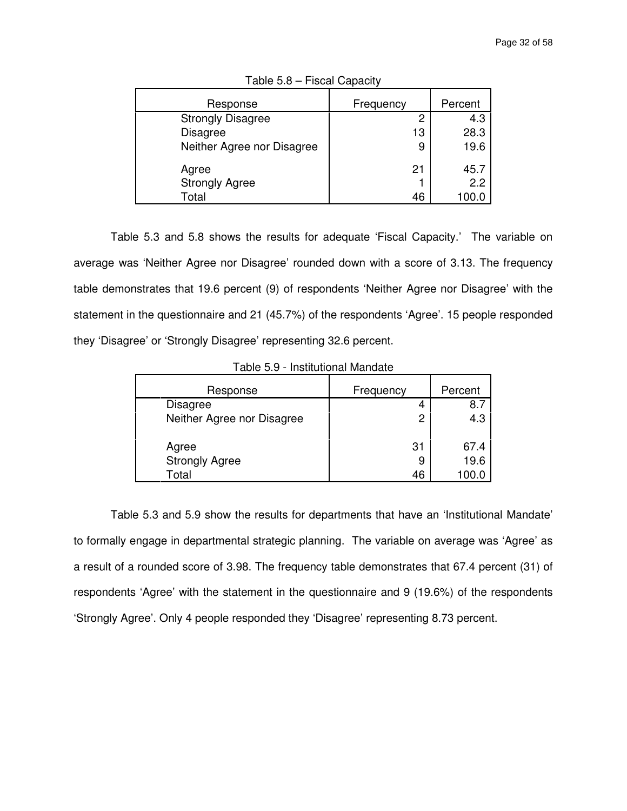| Response                   | Frequency | Percent |
|----------------------------|-----------|---------|
| <b>Strongly Disagree</b>   | 2         | 4.3     |
| <b>Disagree</b>            | 13        | 28.3    |
| Neither Agree nor Disagree | 9         | 19.6    |
| Agree                      | 21        | 45.7    |
| <b>Strongly Agree</b>      |           | 2.2     |
| Total                      | 46        | 100.0   |

Table 5.8 – Fiscal Capacity

Table 5.3 and 5.8 shows the results for adequate 'Fiscal Capacity.' The variable on average was 'Neither Agree nor Disagree' rounded down with a score of 3.13. The frequency table demonstrates that 19.6 percent (9) of respondents 'Neither Agree nor Disagree' with the statement in the questionnaire and 21 (45.7%) of the respondents 'Agree'. 15 people responded they 'Disagree' or 'Strongly Disagree' representing 32.6 percent.

| Response                   | Frequency | Percent |
|----------------------------|-----------|---------|
| <b>Disagree</b>            | 4         | 8.      |
| Neither Agree nor Disagree | 2         | 4.3     |
| Agree                      | 31        | 67.4    |
| <b>Strongly Agree</b>      | 9         | 19.6    |
| Total                      | 46        | 100.0   |

Table 5.9 - Institutional Mandate

Table 5.3 and 5.9 show the results for departments that have an 'Institutional Mandate' to formally engage in departmental strategic planning. The variable on average was 'Agree' as a result of a rounded score of 3.98. The frequency table demonstrates that 67.4 percent (31) of respondents 'Agree' with the statement in the questionnaire and 9 (19.6%) of the respondents 'Strongly Agree'. Only 4 people responded they 'Disagree' representing 8.73 percent.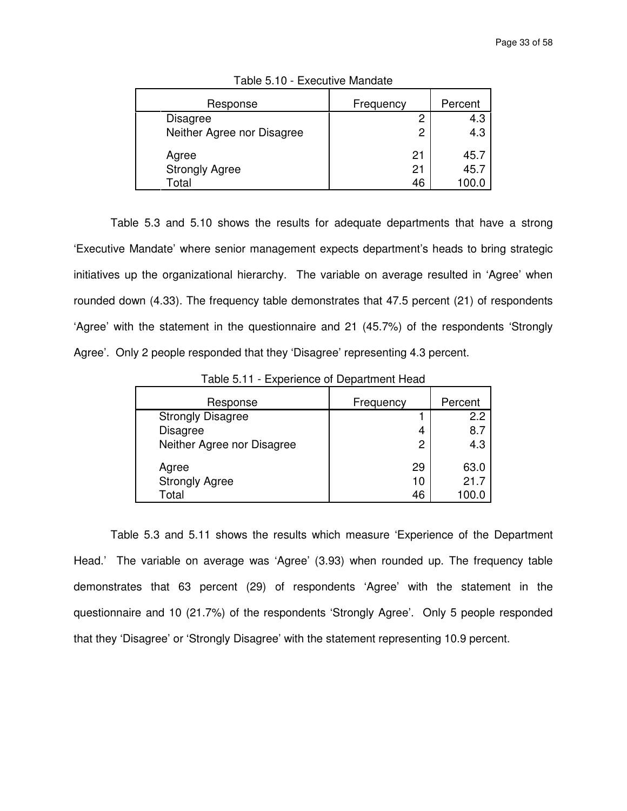| Response                   | Frequency | Percent |
|----------------------------|-----------|---------|
| <b>Disagree</b>            | 2         | 4.3     |
| Neither Agree nor Disagree | 2         | 4.3     |
| Agree                      | 21        | 45.7    |
| <b>Strongly Agree</b>      | 21        | 45.7    |
| Total                      | 46        |         |

Table 5.10 - Executive Mandate

Table 5.3 and 5.10 shows the results for adequate departments that have a strong 'Executive Mandate' where senior management expects department's heads to bring strategic initiatives up the organizational hierarchy. The variable on average resulted in 'Agree' when rounded down (4.33). The frequency table demonstrates that 47.5 percent (21) of respondents 'Agree' with the statement in the questionnaire and 21 (45.7%) of the respondents 'Strongly Agree'. Only 2 people responded that they 'Disagree' representing 4.3 percent.

| Response                   | Frequency | Percent |
|----------------------------|-----------|---------|
| <b>Strongly Disagree</b>   |           | 2.2     |
| <b>Disagree</b>            | 4         | 8.7     |
| Neither Agree nor Disagree | 2         | 4.3     |
| Agree                      | 29        | 63.0    |
| <b>Strongly Agree</b>      | 10        | 21.7    |
| Total                      | 46        | 100.0   |

Table 5.11 - Experience of Department Head

Table 5.3 and 5.11 shows the results which measure 'Experience of the Department Head.' The variable on average was 'Agree' (3.93) when rounded up. The frequency table demonstrates that 63 percent (29) of respondents 'Agree' with the statement in the questionnaire and 10 (21.7%) of the respondents 'Strongly Agree'. Only 5 people responded that they 'Disagree' or 'Strongly Disagree' with the statement representing 10.9 percent.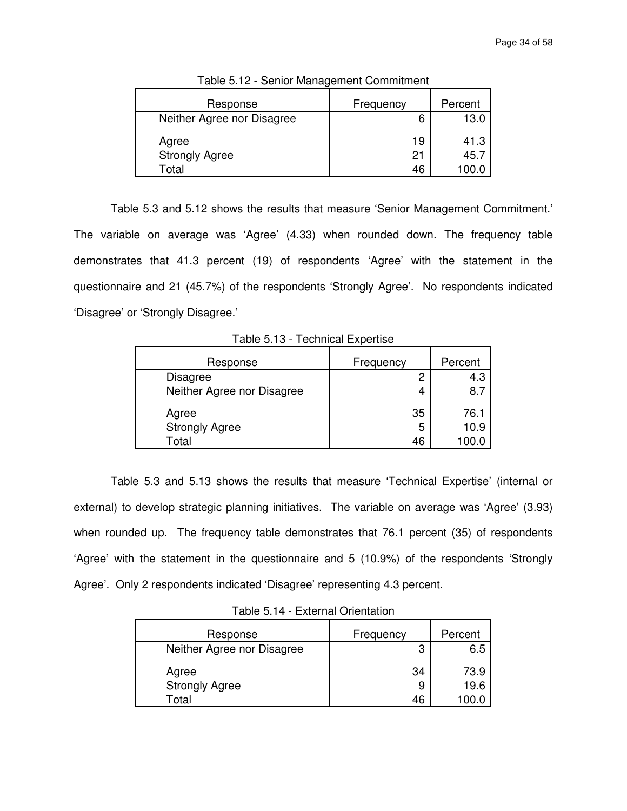| Response                   | Frequency | Percent |
|----------------------------|-----------|---------|
| Neither Agree nor Disagree | 6         | 13.0    |
| Agree                      | 19        | 41.3    |
| <b>Strongly Agree</b>      |           | 45.7    |
| Total                      | 46        | 100 C   |

Table 5.12 - Senior Management Commitment

Table 5.3 and 5.12 shows the results that measure 'Senior Management Commitment.' The variable on average was 'Agree' (4.33) when rounded down. The frequency table demonstrates that 41.3 percent (19) of respondents 'Agree' with the statement in the questionnaire and 21 (45.7%) of the respondents 'Strongly Agree'. No respondents indicated 'Disagree' or 'Strongly Disagree.'

Response | Frequency | Percent Disagree 2 4.3 Neither Agree nor Disagree 1 4 4 8.7 Agree 35 76.1 Strongly Agree 10.9

Total 46 100.0

Table 5.13 - Technical Expertise

Table 5.3 and 5.13 shows the results that measure 'Technical Expertise' (internal or external) to develop strategic planning initiatives. The variable on average was 'Agree' (3.93) when rounded up. The frequency table demonstrates that 76.1 percent (35) of respondents 'Agree' with the statement in the questionnaire and 5 (10.9%) of the respondents 'Strongly Agree'. Only 2 respondents indicated 'Disagree' representing 4.3 percent.

| Table 5.14 - External Orientation |
|-----------------------------------|
|-----------------------------------|

| Response                   | <b>Frequency</b> | Percent |
|----------------------------|------------------|---------|
| Neither Agree nor Disagree | 3                | 6.5     |
| Agree                      | 34               | 73.9    |
| <b>Strongly Agree</b>      | 9                | 19.6    |
| Total                      | 46               |         |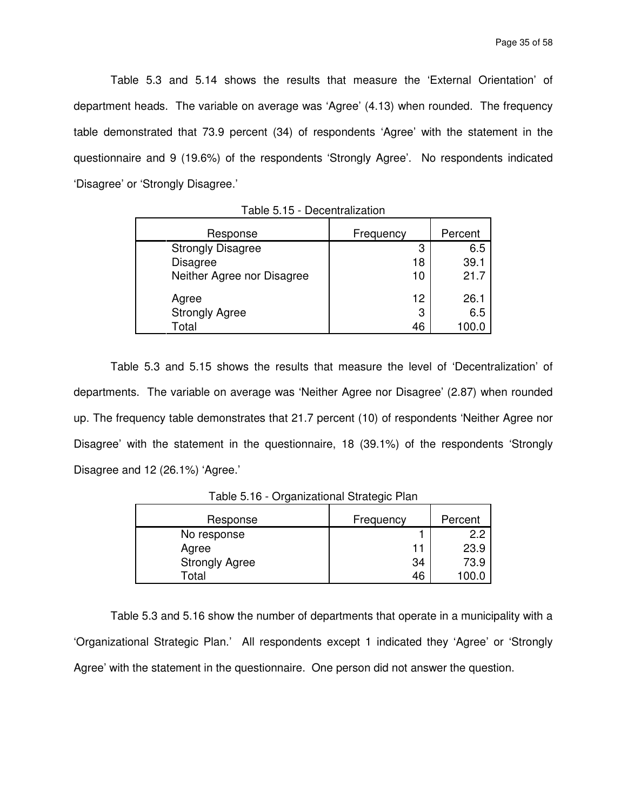Table 5.3 and 5.14 shows the results that measure the 'External Orientation' of department heads. The variable on average was 'Agree' (4.13) when rounded. The frequency table demonstrated that 73.9 percent (34) of respondents 'Agree' with the statement in the questionnaire and 9 (19.6%) of the respondents 'Strongly Agree'. No respondents indicated 'Disagree' or 'Strongly Disagree.'

| Response                   | Frequency | Percent |
|----------------------------|-----------|---------|
| <b>Strongly Disagree</b>   | 3         | 6.5     |
| <b>Disagree</b>            | 18        | 39.1    |
| Neither Agree nor Disagree | 10        | 21.7    |
| Agree                      | 12        | 26.1    |
| <b>Strongly Agree</b>      | 3         | 6.5     |
| Total                      | 46        | 100.0   |

Table 5.15 - Decentralization

Table 5.3 and 5.15 shows the results that measure the level of 'Decentralization' of departments. The variable on average was 'Neither Agree nor Disagree' (2.87) when rounded up. The frequency table demonstrates that 21.7 percent (10) of respondents 'Neither Agree nor Disagree' with the statement in the questionnaire, 18 (39.1%) of the respondents 'Strongly Disagree and 12 (26.1%) 'Agree.'

| Response              | Frequency | Percent |
|-----------------------|-----------|---------|
| No response           |           | 2.2     |
| Agree                 |           | 23.9    |
| <b>Strongly Agree</b> | 34        | 73.9    |
| Total                 | 46        | LOO.    |

Table 5.16 - Organizational Strategic Plan

Table 5.3 and 5.16 show the number of departments that operate in a municipality with a 'Organizational Strategic Plan.' All respondents except 1 indicated they 'Agree' or 'Strongly Agree' with the statement in the questionnaire. One person did not answer the question.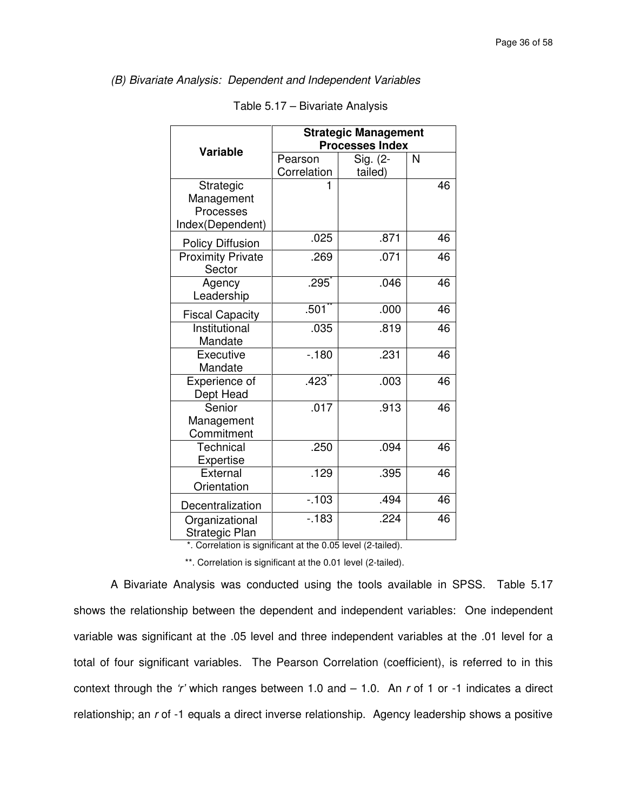# (B) Bivariate Analysis: Dependent and Independent Variables

|                                                          | <b>Strategic Management</b><br><b>Processes Index</b> |                     |    |
|----------------------------------------------------------|-------------------------------------------------------|---------------------|----|
| <b>Variable</b>                                          | Pearson<br>Correlation                                | Sig. (2-<br>tailed) | N  |
| Strategic<br>Management<br>Processes<br>Index(Dependent) |                                                       |                     | 46 |
| <b>Policy Diffusion</b>                                  | .025                                                  | .871                | 46 |
| <b>Proximity Private</b><br>Sector                       | .269                                                  | .071                | 46 |
| Agency<br>Leadership                                     | .295                                                  | .046                | 46 |
| <b>Fiscal Capacity</b>                                   | $.501$ <sup>**</sup>                                  | .000                | 46 |
| Institutional<br>Mandate                                 | .035                                                  | .819                | 46 |
| Executive<br>Mandate                                     | $-180$                                                | .231                | 46 |
| Experience of<br>Dept Head                               | $.423$ <sup>*</sup>                                   | .003                | 46 |
| Senior<br>Management<br>Commitment                       | .017                                                  | .913                | 46 |
| Technical<br>Expertise                                   | $\overline{.}250$                                     | .094                | 46 |
| External<br>Orientation                                  | .129                                                  | .395                | 46 |
| Decentralization                                         | $-103$                                                | .494                | 46 |
| Organizational<br>Strategic Plan                         | $-183$                                                | .224                | 46 |

\*. Correlation is significant at the 0.05 level (2-tailed).

\*\*. Correlation is significant at the 0.01 level (2-tailed).

A Bivariate Analysis was conducted using the tools available in SPSS. Table 5.17 shows the relationship between the dependent and independent variables: One independent variable was significant at the .05 level and three independent variables at the .01 level for a total of four significant variables. The Pearson Correlation (coefficient), is referred to in this context through the 'r' which ranges between 1.0 and  $-$  1.0. An r of 1 or -1 indicates a direct relationship; an r of -1 equals a direct inverse relationship. Agency leadership shows a positive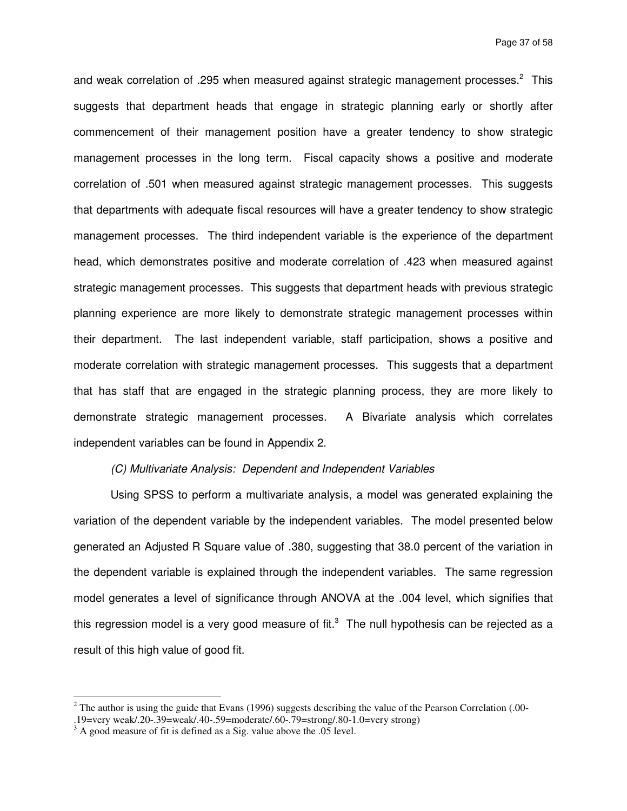and weak correlation of .295 when measured against strategic management processes. $2$  This suggests that department heads that engage in strategic planning early or shortly after commencement of their management position have a greater tendency to show strategic management processes in the long term. Fiscal capacity shows a positive and moderate correlation of .501 when measured against strategic management processes. This suggests that departments with adequate fiscal resources will have a greater tendency to show strategic management processes. The third independent variable is the experience of the department head, which demonstrates positive and moderate correlation of .423 when measured against strategic management processes. This suggests that department heads with previous strategic planning experience are more likely to demonstrate strategic management processes within their department. The last independent variable, staff participation, shows a positive and moderate correlation with strategic management processes. This suggests that a department that has staff that are engaged in the strategic planning process, they are more likely to demonstrate strategic management processes. A Bivariate analysis which correlates independent variables can be found in Appendix 2.

## (C) Multivariate Analysis: Dependent and Independent Variables

Using SPSS to perform a multivariate analysis, a model was generated explaining the variation of the dependent variable by the independent variables. The model presented below generated an Adjusted R Square value of .380, suggesting that 38.0 percent of the variation in the dependent variable is explained through the independent variables. The same regression model generates a level of significance through ANOVA at the .004 level, which signifies that this regression model is a very good measure of fit.<sup>3</sup> The null hypothesis can be rejected as a result of this high value of good fit.

<sup>&</sup>lt;sup>2</sup> The author is using the guide that Evans (1996) suggests describing the value of the Pearson Correlation (.00-.19=very weak/.20-.39=weak/.40-.59=moderate/.60-.79=strong/.80-1.0=very strong)

 $3<sup>3</sup>$  A good measure of fit is defined as a Sig. value above the .05 level.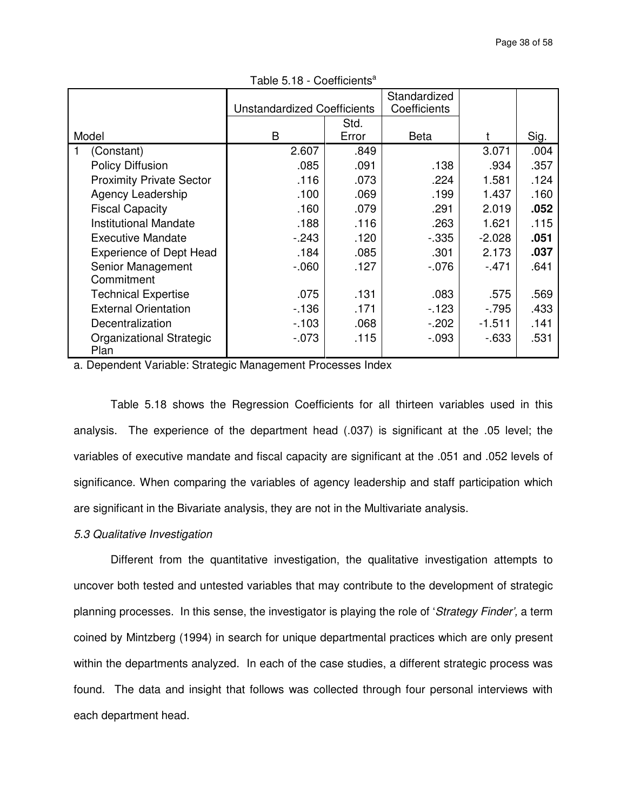|                                 | <b>Unstandardized Coefficients</b> |       | Standardized<br>Coefficients |          |      |
|---------------------------------|------------------------------------|-------|------------------------------|----------|------|
|                                 |                                    | Std.  |                              |          |      |
| Model                           | B                                  | Error | <b>Beta</b>                  |          | Sig. |
| (Constant)                      | 2.607                              | .849  |                              | 3.071    | .004 |
| <b>Policy Diffusion</b>         | .085                               | .091  | .138                         | .934     | .357 |
| <b>Proximity Private Sector</b> | .116                               | .073  | .224                         | 1.581    | .124 |
| Agency Leadership               | .100                               | .069  | .199                         | 1.437    | .160 |
| <b>Fiscal Capacity</b>          | .160                               | .079  | .291                         | 2.019    | .052 |
| <b>Institutional Mandate</b>    | .188                               | .116  | .263                         | 1.621    | .115 |
| <b>Executive Mandate</b>        | $-243$                             | .120  | $-0.335$                     | $-2.028$ | .051 |
| <b>Experience of Dept Head</b>  | .184                               | .085  | .301                         | 2.173    | .037 |
| Senior Management               | $-060$                             | .127  | $-0.076$                     | $-471$   | .641 |
| Commitment                      |                                    |       |                              |          |      |
| <b>Technical Expertise</b>      | .075                               | .131  | .083                         | .575     | .569 |
| <b>External Orientation</b>     | $-136$                             | .171  | $-123$                       | $-795$   | .433 |
| Decentralization                | $-103$                             | .068  | $-202$                       | $-1.511$ | .141 |
| <b>Organizational Strategic</b> | $-073$                             | .115  | $-0.093$                     | $-633$   | .531 |
| Plan                            |                                    |       |                              |          |      |

Table  $5.18 - Coefficients<sup>a</sup>$ 

a. Dependent Variable: Strategic Management Processes Index

Table 5.18 shows the Regression Coefficients for all thirteen variables used in this analysis. The experience of the department head (.037) is significant at the .05 level; the variables of executive mandate and fiscal capacity are significant at the .051 and .052 levels of significance. When comparing the variables of agency leadership and staff participation which are significant in the Bivariate analysis, they are not in the Multivariate analysis.

### 5.3 Qualitative Investigation

 Different from the quantitative investigation, the qualitative investigation attempts to uncover both tested and untested variables that may contribute to the development of strategic planning processes. In this sense, the investigator is playing the role of 'Strategy Finder', a term coined by Mintzberg (1994) in search for unique departmental practices which are only present within the departments analyzed. In each of the case studies, a different strategic process was found. The data and insight that follows was collected through four personal interviews with each department head.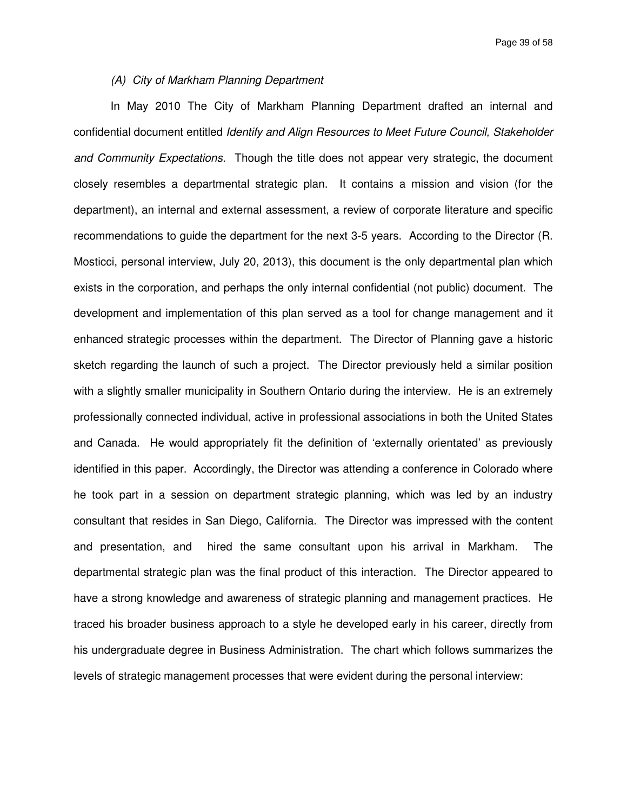### (A) City of Markham Planning Department

In May 2010 The City of Markham Planning Department drafted an internal and confidential document entitled Identify and Align Resources to Meet Future Council, Stakeholder and Community Expectations. Though the title does not appear very strategic, the document closely resembles a departmental strategic plan. It contains a mission and vision (for the department), an internal and external assessment, a review of corporate literature and specific recommendations to guide the department for the next 3-5 years. According to the Director (R. Mosticci, personal interview, July 20, 2013), this document is the only departmental plan which exists in the corporation, and perhaps the only internal confidential (not public) document. The development and implementation of this plan served as a tool for change management and it enhanced strategic processes within the department. The Director of Planning gave a historic sketch regarding the launch of such a project. The Director previously held a similar position with a slightly smaller municipality in Southern Ontario during the interview. He is an extremely professionally connected individual, active in professional associations in both the United States and Canada. He would appropriately fit the definition of 'externally orientated' as previously identified in this paper. Accordingly, the Director was attending a conference in Colorado where he took part in a session on department strategic planning, which was led by an industry consultant that resides in San Diego, California. The Director was impressed with the content and presentation, and hired the same consultant upon his arrival in Markham. The departmental strategic plan was the final product of this interaction. The Director appeared to have a strong knowledge and awareness of strategic planning and management practices. He traced his broader business approach to a style he developed early in his career, directly from his undergraduate degree in Business Administration. The chart which follows summarizes the levels of strategic management processes that were evident during the personal interview: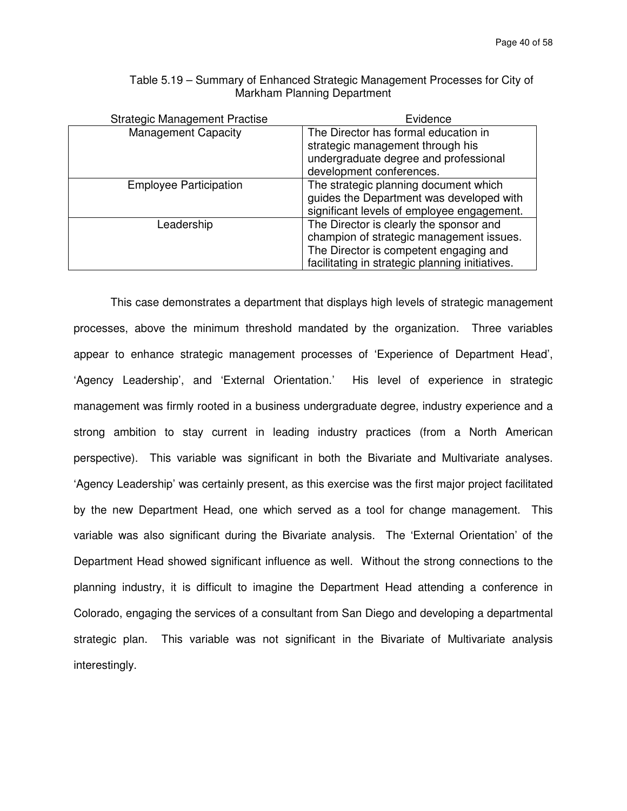| <b>Strategic Management Practise</b> | Evidence                                        |
|--------------------------------------|-------------------------------------------------|
| <b>Management Capacity</b>           | The Director has formal education in            |
|                                      | strategic management through his                |
|                                      | undergraduate degree and professional           |
|                                      | development conferences.                        |
| <b>Employee Participation</b>        | The strategic planning document which           |
|                                      | guides the Department was developed with        |
|                                      | significant levels of employee engagement.      |
| Leadership                           | The Director is clearly the sponsor and         |
|                                      | champion of strategic management issues.        |
|                                      | The Director is competent engaging and          |
|                                      | facilitating in strategic planning initiatives. |

Table 5.19 – Summary of Enhanced Strategic Management Processes for City of Markham Planning Department

This case demonstrates a department that displays high levels of strategic management processes, above the minimum threshold mandated by the organization. Three variables appear to enhance strategic management processes of 'Experience of Department Head', 'Agency Leadership', and 'External Orientation.' His level of experience in strategic management was firmly rooted in a business undergraduate degree, industry experience and a strong ambition to stay current in leading industry practices (from a North American perspective). This variable was significant in both the Bivariate and Multivariate analyses. 'Agency Leadership' was certainly present, as this exercise was the first major project facilitated by the new Department Head, one which served as a tool for change management. This variable was also significant during the Bivariate analysis. The 'External Orientation' of the Department Head showed significant influence as well. Without the strong connections to the planning industry, it is difficult to imagine the Department Head attending a conference in Colorado, engaging the services of a consultant from San Diego and developing a departmental strategic plan. This variable was not significant in the Bivariate of Multivariate analysis interestingly.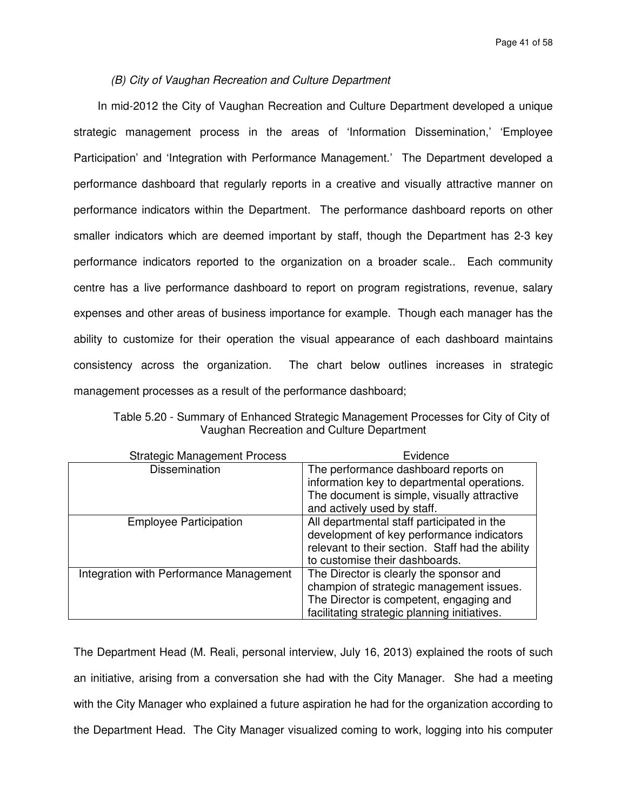## (B) City of Vaughan Recreation and Culture Department

In mid-2012 the City of Vaughan Recreation and Culture Department developed a unique strategic management process in the areas of 'Information Dissemination,' 'Employee Participation' and 'Integration with Performance Management.' The Department developed a performance dashboard that regularly reports in a creative and visually attractive manner on performance indicators within the Department. The performance dashboard reports on other smaller indicators which are deemed important by staff, though the Department has 2-3 key performance indicators reported to the organization on a broader scale.. Each community centre has a live performance dashboard to report on program registrations, revenue, salary expenses and other areas of business importance for example. Though each manager has the ability to customize for their operation the visual appearance of each dashboard maintains consistency across the organization. The chart below outlines increases in strategic management processes as a result of the performance dashboard;

| Table 5.20 - Summary of Enhanced Strategic Management Processes for City of City of |
|-------------------------------------------------------------------------------------|
| Vaughan Recreation and Culture Department                                           |

| <b>Strategic Management Process</b>     | Evidence                                                                                      |
|-----------------------------------------|-----------------------------------------------------------------------------------------------|
| <b>Dissemination</b>                    | The performance dashboard reports on                                                          |
|                                         | information key to departmental operations.                                                   |
|                                         | The document is simple, visually attractive                                                   |
|                                         | and actively used by staff.                                                                   |
| <b>Employee Participation</b>           | All departmental staff participated in the                                                    |
|                                         | development of key performance indicators<br>relevant to their section. Staff had the ability |
|                                         | to customise their dashboards.                                                                |
| Integration with Performance Management | The Director is clearly the sponsor and                                                       |
|                                         | champion of strategic management issues.                                                      |
|                                         | The Director is competent, engaging and                                                       |
|                                         | facilitating strategic planning initiatives.                                                  |

The Department Head (M. Reali, personal interview, July 16, 2013) explained the roots of such an initiative, arising from a conversation she had with the City Manager. She had a meeting with the City Manager who explained a future aspiration he had for the organization according to the Department Head. The City Manager visualized coming to work, logging into his computer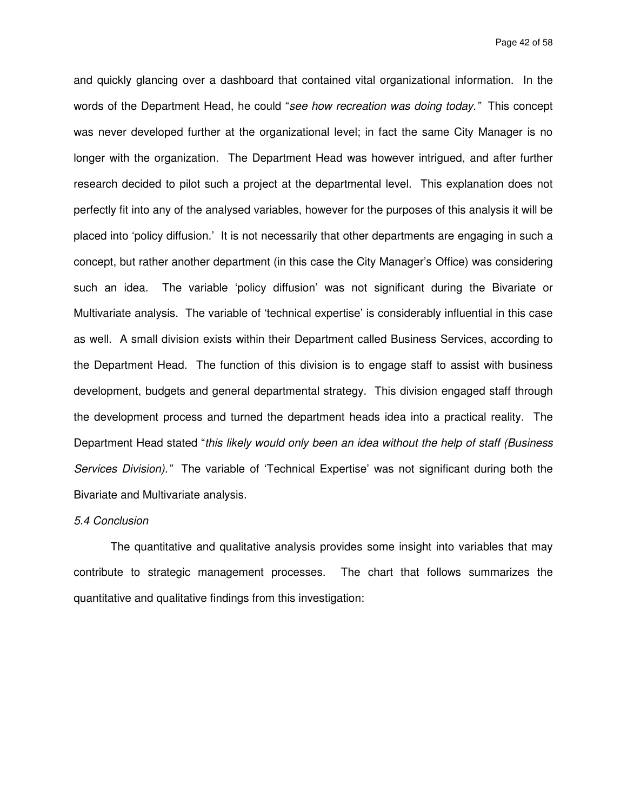and quickly glancing over a dashboard that contained vital organizational information. In the words of the Department Head, he could "see how recreation was doing today." This concept was never developed further at the organizational level; in fact the same City Manager is no longer with the organization. The Department Head was however intrigued, and after further research decided to pilot such a project at the departmental level. This explanation does not perfectly fit into any of the analysed variables, however for the purposes of this analysis it will be placed into 'policy diffusion.' It is not necessarily that other departments are engaging in such a concept, but rather another department (in this case the City Manager's Office) was considering such an idea. The variable 'policy diffusion' was not significant during the Bivariate or Multivariate analysis. The variable of 'technical expertise' is considerably influential in this case as well. A small division exists within their Department called Business Services, according to the Department Head. The function of this division is to engage staff to assist with business development, budgets and general departmental strategy. This division engaged staff through the development process and turned the department heads idea into a practical reality. The Department Head stated "this likely would only been an idea without the help of staff (Business Services Division)." The variable of 'Technical Expertise' was not significant during both the Bivariate and Multivariate analysis.

## 5.4 Conclusion

 The quantitative and qualitative analysis provides some insight into variables that may contribute to strategic management processes. The chart that follows summarizes the quantitative and qualitative findings from this investigation: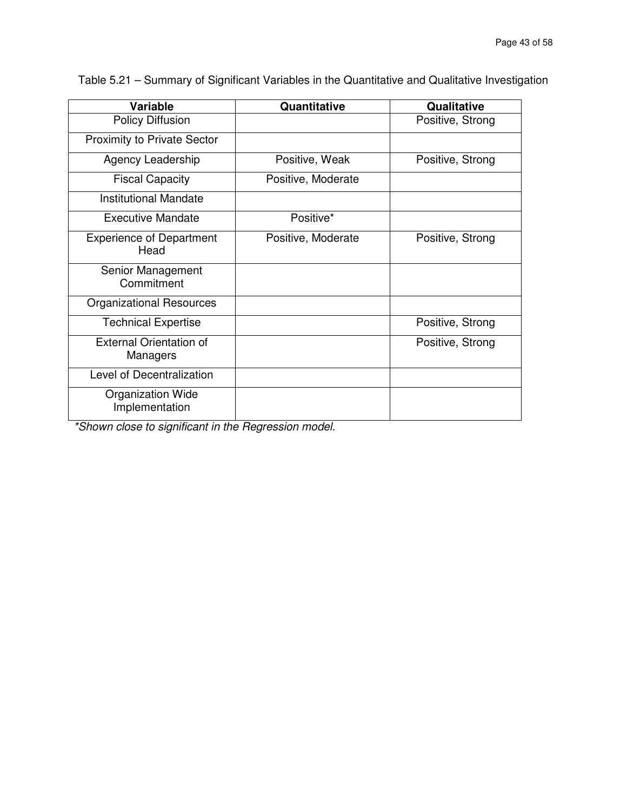| Variable                                   | Quantitative       | Qualitative      |
|--------------------------------------------|--------------------|------------------|
| <b>Policy Diffusion</b>                    |                    | Positive, Strong |
| <b>Proximity to Private Sector</b>         |                    |                  |
| Agency Leadership                          | Positive, Weak     | Positive, Strong |
| <b>Fiscal Capacity</b>                     | Positive, Moderate |                  |
| <b>Institutional Mandate</b>               |                    |                  |
| <b>Executive Mandate</b>                   | Positive*          |                  |
| <b>Experience of Department</b><br>Head    | Positive, Moderate | Positive, Strong |
| Senior Management<br>Commitment            |                    |                  |
| <b>Organizational Resources</b>            |                    |                  |
| <b>Technical Expertise</b>                 |                    | Positive, Strong |
| <b>External Orientation of</b><br>Managers |                    | Positive, Strong |
| Level of Decentralization                  |                    |                  |
| <b>Organization Wide</b><br>Implementation |                    |                  |

Table 5.21 – Summary of Significant Variables in the Quantitative and Qualitative Investigation

\*Shown close to significant in the Regression model.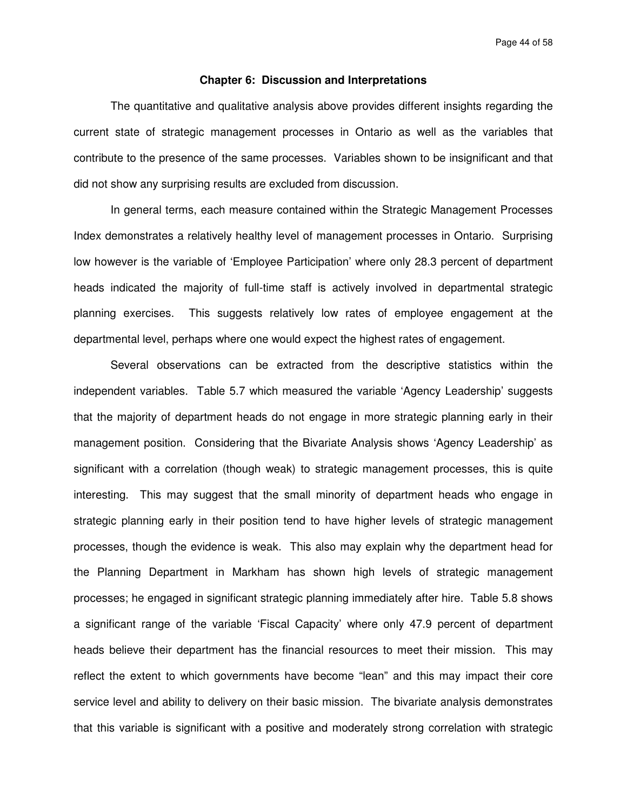Page 44 of 58

### **Chapter 6: Discussion and Interpretations**

The quantitative and qualitative analysis above provides different insights regarding the current state of strategic management processes in Ontario as well as the variables that contribute to the presence of the same processes. Variables shown to be insignificant and that did not show any surprising results are excluded from discussion.

In general terms, each measure contained within the Strategic Management Processes Index demonstrates a relatively healthy level of management processes in Ontario. Surprising low however is the variable of 'Employee Participation' where only 28.3 percent of department heads indicated the majority of full-time staff is actively involved in departmental strategic planning exercises. This suggests relatively low rates of employee engagement at the departmental level, perhaps where one would expect the highest rates of engagement.

Several observations can be extracted from the descriptive statistics within the independent variables. Table 5.7 which measured the variable 'Agency Leadership' suggests that the majority of department heads do not engage in more strategic planning early in their management position. Considering that the Bivariate Analysis shows 'Agency Leadership' as significant with a correlation (though weak) to strategic management processes, this is quite interesting. This may suggest that the small minority of department heads who engage in strategic planning early in their position tend to have higher levels of strategic management processes, though the evidence is weak. This also may explain why the department head for the Planning Department in Markham has shown high levels of strategic management processes; he engaged in significant strategic planning immediately after hire. Table 5.8 shows a significant range of the variable 'Fiscal Capacity' where only 47.9 percent of department heads believe their department has the financial resources to meet their mission. This may reflect the extent to which governments have become "lean" and this may impact their core service level and ability to delivery on their basic mission. The bivariate analysis demonstrates that this variable is significant with a positive and moderately strong correlation with strategic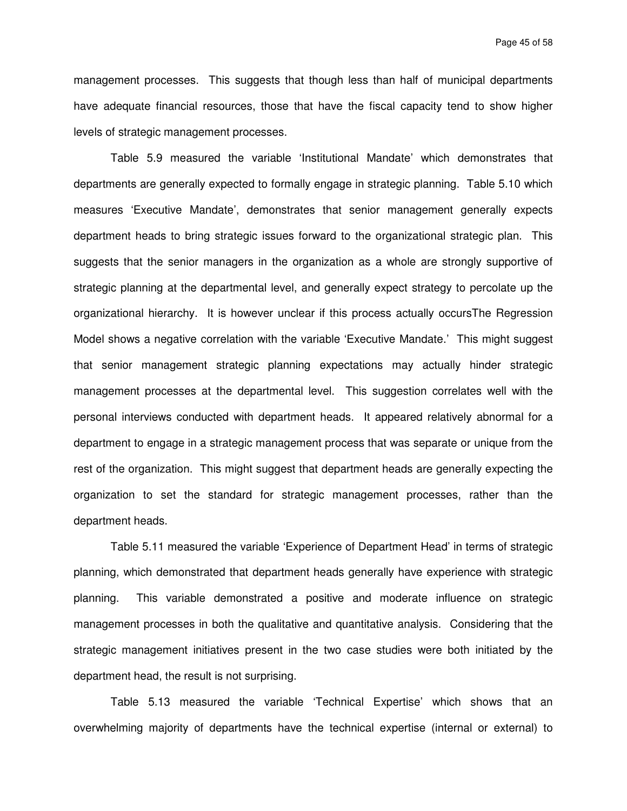Page 45 of 58

management processes. This suggests that though less than half of municipal departments have adequate financial resources, those that have the fiscal capacity tend to show higher levels of strategic management processes.

Table 5.9 measured the variable 'Institutional Mandate' which demonstrates that departments are generally expected to formally engage in strategic planning. Table 5.10 which measures 'Executive Mandate', demonstrates that senior management generally expects department heads to bring strategic issues forward to the organizational strategic plan. This suggests that the senior managers in the organization as a whole are strongly supportive of strategic planning at the departmental level, and generally expect strategy to percolate up the organizational hierarchy. It is however unclear if this process actually occursThe Regression Model shows a negative correlation with the variable 'Executive Mandate.' This might suggest that senior management strategic planning expectations may actually hinder strategic management processes at the departmental level. This suggestion correlates well with the personal interviews conducted with department heads. It appeared relatively abnormal for a department to engage in a strategic management process that was separate or unique from the rest of the organization. This might suggest that department heads are generally expecting the organization to set the standard for strategic management processes, rather than the department heads.

Table 5.11 measured the variable 'Experience of Department Head' in terms of strategic planning, which demonstrated that department heads generally have experience with strategic planning. This variable demonstrated a positive and moderate influence on strategic management processes in both the qualitative and quantitative analysis. Considering that the strategic management initiatives present in the two case studies were both initiated by the department head, the result is not surprising.

Table 5.13 measured the variable 'Technical Expertise' which shows that an overwhelming majority of departments have the technical expertise (internal or external) to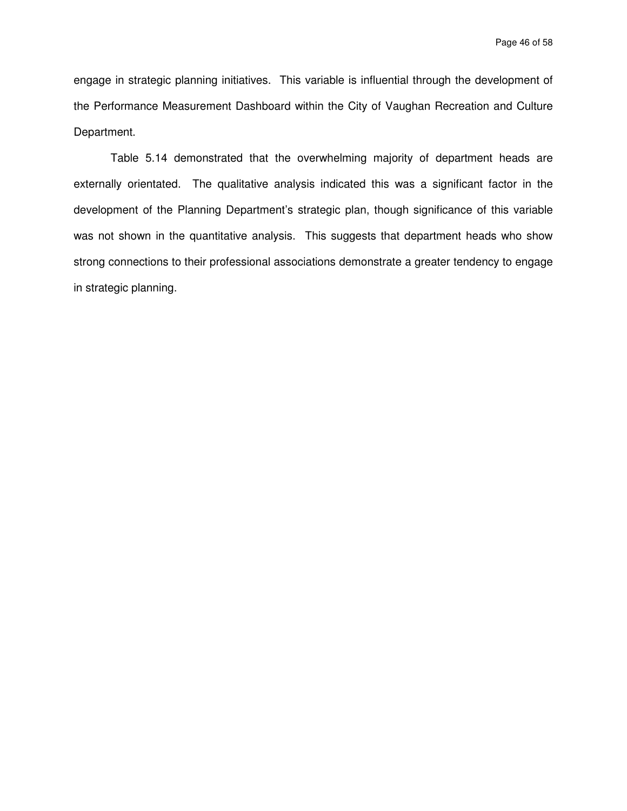engage in strategic planning initiatives. This variable is influential through the development of the Performance Measurement Dashboard within the City of Vaughan Recreation and Culture Department.

Table 5.14 demonstrated that the overwhelming majority of department heads are externally orientated. The qualitative analysis indicated this was a significant factor in the development of the Planning Department's strategic plan, though significance of this variable was not shown in the quantitative analysis. This suggests that department heads who show strong connections to their professional associations demonstrate a greater tendency to engage in strategic planning.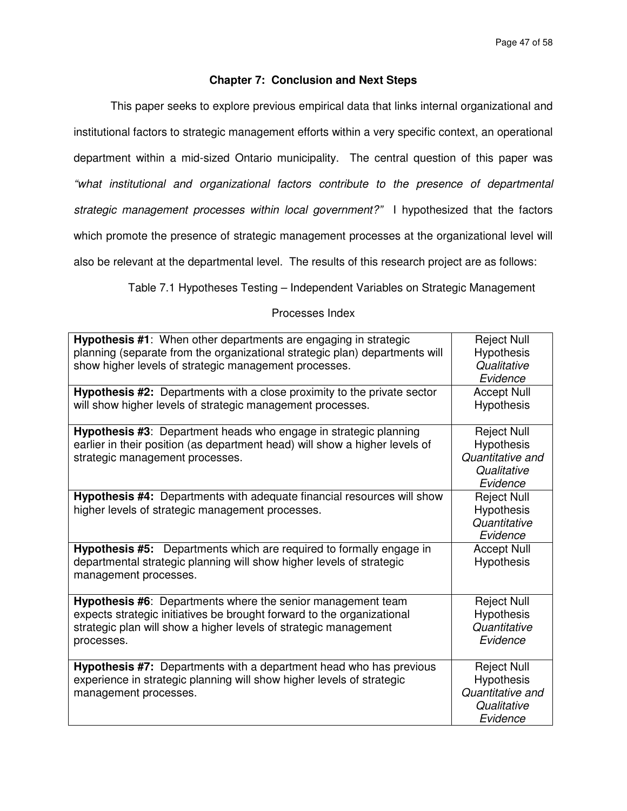# **Chapter 7: Conclusion and Next Steps**

This paper seeks to explore previous empirical data that links internal organizational and institutional factors to strategic management efforts within a very specific context, an operational department within a mid-sized Ontario municipality. The central question of this paper was "what institutional and organizational factors contribute to the presence of departmental strategic management processes within local government?" I hypothesized that the factors which promote the presence of strategic management processes at the organizational level will also be relevant at the departmental level. The results of this research project are as follows:

Table 7.1 Hypotheses Testing – Independent Variables on Strategic Management

# Processes Index

| Hypothesis #1: When other departments are engaging in strategic<br>planning (separate from the organizational strategic plan) departments will<br>show higher levels of strategic management processes.                 | <b>Reject Null</b><br>Hypothesis<br>Qualitative<br>Evidence                            |
|-------------------------------------------------------------------------------------------------------------------------------------------------------------------------------------------------------------------------|----------------------------------------------------------------------------------------|
| <b>Hypothesis #2:</b> Departments with a close proximity to the private sector<br>will show higher levels of strategic management processes.                                                                            | <b>Accept Null</b><br>Hypothesis                                                       |
| Hypothesis #3: Department heads who engage in strategic planning<br>earlier in their position (as department head) will show a higher levels of<br>strategic management processes.                                      | <b>Reject Null</b><br><b>Hypothesis</b><br>Quantitative and<br>Qualitative<br>Evidence |
| Hypothesis #4: Departments with adequate financial resources will show<br>higher levels of strategic management processes.                                                                                              | <b>Reject Null</b><br><b>Hypothesis</b><br>Quantitative<br>Evidence                    |
| <b>Hypothesis #5:</b> Departments which are required to formally engage in<br>departmental strategic planning will show higher levels of strategic<br>management processes.                                             | <b>Accept Null</b><br><b>Hypothesis</b>                                                |
| Hypothesis #6: Departments where the senior management team<br>expects strategic initiatives be brought forward to the organizational<br>strategic plan will show a higher levels of strategic management<br>processes. | <b>Reject Null</b><br><b>Hypothesis</b><br>Quantitative<br>Evidence                    |
| Hypothesis #7: Departments with a department head who has previous<br>experience in strategic planning will show higher levels of strategic<br>management processes.                                                    | <b>Reject Null</b><br>Hypothesis<br>Quantitative and<br>Qualitative<br>Evidence        |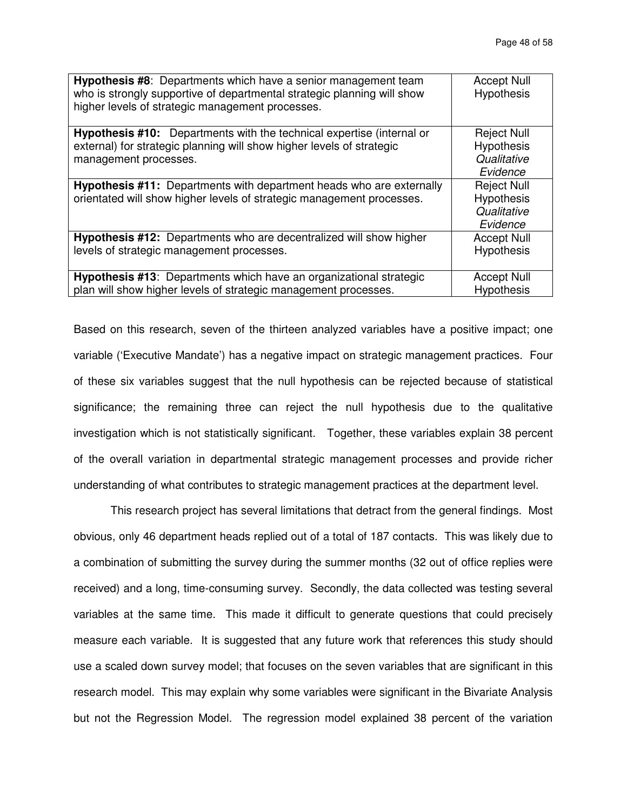| Hypothesis #8: Departments which have a senior management team<br>who is strongly supportive of departmental strategic planning will show<br>higher levels of strategic management processes. | <b>Accept Null</b><br><b>Hypothesis</b> |
|-----------------------------------------------------------------------------------------------------------------------------------------------------------------------------------------------|-----------------------------------------|
| <b>Hypothesis #10:</b> Departments with the technical expertise (internal or                                                                                                                  | <b>Reject Null</b>                      |
| external) for strategic planning will show higher levels of strategic                                                                                                                         | Hypothesis                              |
| management processes.                                                                                                                                                                         | Qualitative                             |
|                                                                                                                                                                                               | Evidence                                |
| Hypothesis #11: Departments with department heads who are externally                                                                                                                          | <b>Reject Null</b>                      |
| orientated will show higher levels of strategic management processes.                                                                                                                         | <b>Hypothesis</b>                       |
|                                                                                                                                                                                               | Qualitative                             |
|                                                                                                                                                                                               | Evidence                                |
| Hypothesis #12: Departments who are decentralized will show higher                                                                                                                            | <b>Accept Null</b>                      |
| levels of strategic management processes.                                                                                                                                                     | <b>Hypothesis</b>                       |
|                                                                                                                                                                                               |                                         |
| <b>Hypothesis #13:</b> Departments which have an organizational strategic                                                                                                                     | <b>Accept Null</b>                      |
| plan will show higher levels of strategic management processes.                                                                                                                               | <b>Hypothesis</b>                       |

Based on this research, seven of the thirteen analyzed variables have a positive impact; one variable ('Executive Mandate') has a negative impact on strategic management practices. Four of these six variables suggest that the null hypothesis can be rejected because of statistical significance; the remaining three can reject the null hypothesis due to the qualitative investigation which is not statistically significant. Together, these variables explain 38 percent of the overall variation in departmental strategic management processes and provide richer understanding of what contributes to strategic management practices at the department level.

 This research project has several limitations that detract from the general findings. Most obvious, only 46 department heads replied out of a total of 187 contacts. This was likely due to a combination of submitting the survey during the summer months (32 out of office replies were received) and a long, time-consuming survey. Secondly, the data collected was testing several variables at the same time. This made it difficult to generate questions that could precisely measure each variable. It is suggested that any future work that references this study should use a scaled down survey model; that focuses on the seven variables that are significant in this research model. This may explain why some variables were significant in the Bivariate Analysis but not the Regression Model. The regression model explained 38 percent of the variation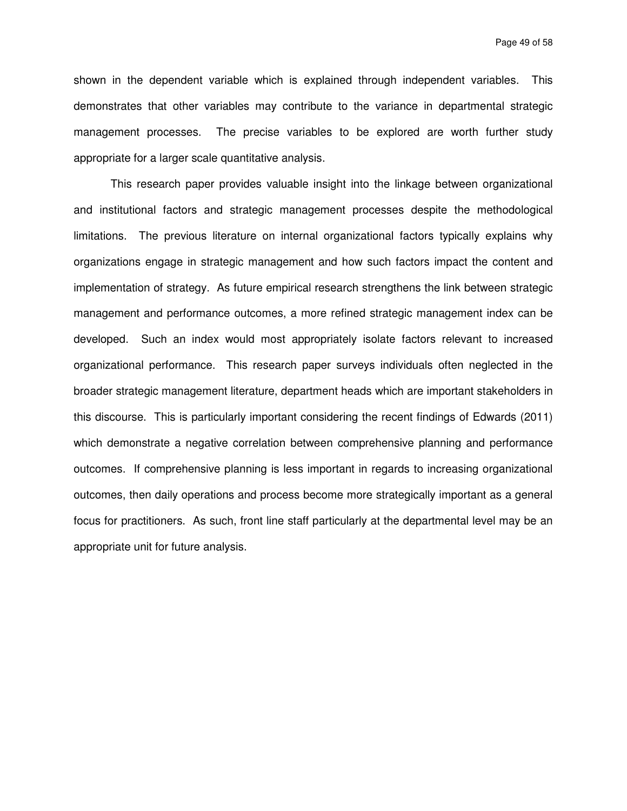Page 49 of 58

shown in the dependent variable which is explained through independent variables. This demonstrates that other variables may contribute to the variance in departmental strategic management processes. The precise variables to be explored are worth further study appropriate for a larger scale quantitative analysis.

 This research paper provides valuable insight into the linkage between organizational and institutional factors and strategic management processes despite the methodological limitations. The previous literature on internal organizational factors typically explains why organizations engage in strategic management and how such factors impact the content and implementation of strategy. As future empirical research strengthens the link between strategic management and performance outcomes, a more refined strategic management index can be developed. Such an index would most appropriately isolate factors relevant to increased organizational performance. This research paper surveys individuals often neglected in the broader strategic management literature, department heads which are important stakeholders in this discourse. This is particularly important considering the recent findings of Edwards (2011) which demonstrate a negative correlation between comprehensive planning and performance outcomes. If comprehensive planning is less important in regards to increasing organizational outcomes, then daily operations and process become more strategically important as a general focus for practitioners. As such, front line staff particularly at the departmental level may be an appropriate unit for future analysis.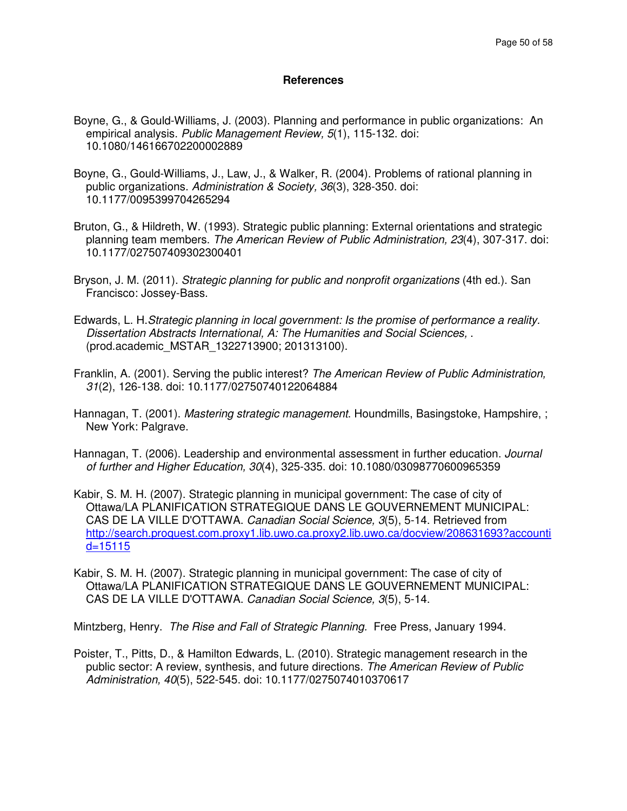## **References**

- Boyne, G., & Gould-Williams, J. (2003). Planning and performance in public organizations: An empirical analysis. Public Management Review, 5(1), 115-132. doi: 10.1080/146166702200002889
- Boyne, G., Gould-Williams, J., Law, J., & Walker, R. (2004). Problems of rational planning in public organizations. Administration & Society, 36(3), 328-350. doi: 10.1177/0095399704265294
- Bruton, G., & Hildreth, W. (1993). Strategic public planning: External orientations and strategic planning team members. The American Review of Public Administration, 23(4), 307-317. doi: 10.1177/027507409302300401
- Bryson, J. M. (2011). Strategic planning for public and nonprofit organizations (4th ed.). San Francisco: Jossey-Bass.
- Edwards, L. H.Strategic planning in local government: Is the promise of performance a reality. Dissertation Abstracts International, A: The Humanities and Social Sciences, . (prod.academic\_MSTAR\_1322713900; 201313100).
- Franklin, A. (2001). Serving the public interest? The American Review of Public Administration, 31(2), 126-138. doi: 10.1177/02750740122064884
- Hannagan, T. (2001). Mastering strategic management. Houndmills, Basingstoke, Hampshire, ; New York: Palgrave.
- Hannagan, T. (2006). Leadership and environmental assessment in further education. Journal of further and Higher Education, 30(4), 325-335. doi: 10.1080/03098770600965359
- Kabir, S. M. H. (2007). Strategic planning in municipal government: The case of city of Ottawa/LA PLANIFICATION STRATEGIQUE DANS LE GOUVERNEMENT MUNICIPAL: CAS DE LA VILLE D'OTTAWA. Canadian Social Science, 3(5), 5-14. Retrieved from http://search.proquest.com.proxy1.lib.uwo.ca.proxy2.lib.uwo.ca/docview/208631693?accounti  $d = 15115$
- Kabir, S. M. H. (2007). Strategic planning in municipal government: The case of city of Ottawa/LA PLANIFICATION STRATEGIQUE DANS LE GOUVERNEMENT MUNICIPAL: CAS DE LA VILLE D'OTTAWA. Canadian Social Science, 3(5), 5-14.

Mintzberg, Henry. The Rise and Fall of Strategic Planning. Free Press, January 1994.

Poister, T., Pitts, D., & Hamilton Edwards, L. (2010). Strategic management research in the public sector: A review, synthesis, and future directions. The American Review of Public Administration, 40(5), 522-545. doi: 10.1177/0275074010370617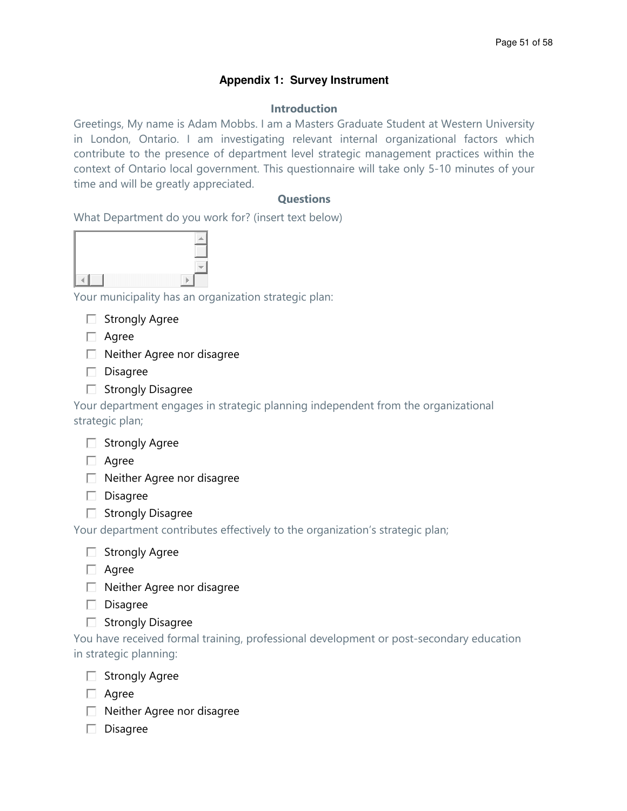# **Appendix 1: Survey Instrument**

# Introduction

Greetings, My name is Adam Mobbs. I am a Masters Graduate Student at Western University in London, Ontario. I am investigating relevant internal organizational factors which contribute to the presence of department level strategic management practices within the context of Ontario local government. This questionnaire will take only 5-10 minutes of your time and will be greatly appreciated.

# **Ouestions**

What Department do you work for? (insert text below)

Your municipality has an organization strategic plan:

- $\Box$  Strongly Agree
- □ Agree
- $\Box$  Neither Agree nor disagree
- $\square$  Disagree
- $\Box$  Strongly Disagree

Your department engages in strategic planning independent from the organizational strategic plan;

| <b>Strongly Agree</b> |
|-----------------------|
|-----------------------|

 $\Box$  Agree

- $\Box$  Neither Agree nor disagree
- $\square$  Disagree
- $\Box$  Strongly Disagree

Your department contributes effectively to the organization's strategic plan;

|  | <b>Strongly Agree</b> |  |
|--|-----------------------|--|
|--|-----------------------|--|

- $\Box$  Agree
- $\Box$  Neither Agree nor disagree
- $\square$  Disagree
- $\Box$  Strongly Disagree

You have received formal training, professional development or post-secondary education in strategic planning:

- $\Box$  Strongly Agree
- □ Agree
- $\Box$  Neither Agree nor disagree
- $\square$  Disagree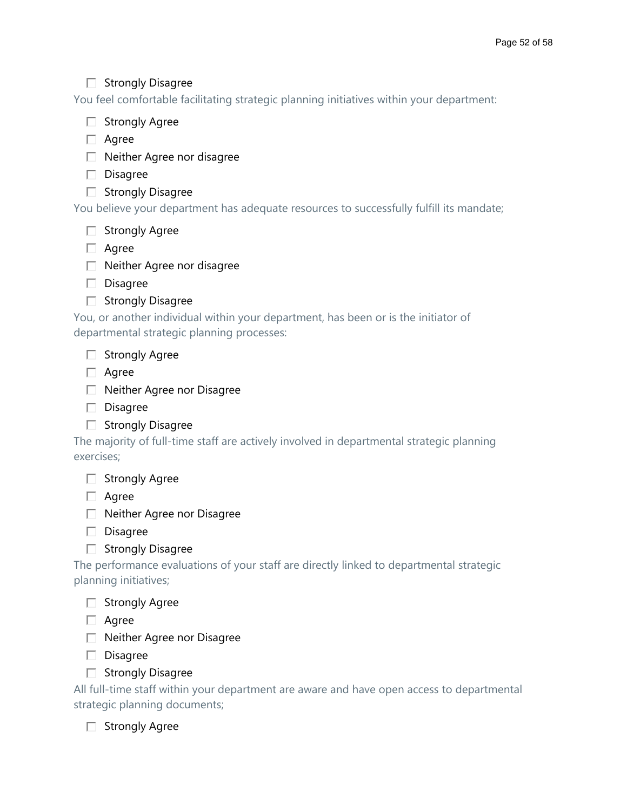# $\Box$  Strongly Disagree

You feel comfortable facilitating strategic planning initiatives within your department:



 $\Box$  Neither Agree nor disagree

 $\square$  Disagree

 $\Box$  Strongly Disagree

You believe your department has adequate resources to successfully fulfill its mandate;

 $\Box$  Strongly Agree

□ Agree

 $\Box$  Neither Agree nor disagree

 $\square$  Disagree

 $\Box$  Strongly Disagree

You, or another individual within your department, has been or is the initiator of departmental strategic planning processes:

 $\Box$  Strongly Agree

□ Agree

□ Neither Agree nor Disagree

 $\square$  Disagree

 $\Box$  Strongly Disagree

The majority of full-time staff are actively involved in departmental strategic planning exercises;

 $\Box$  Strongly Agree

□ Agree

□ Neither Agree nor Disagree

 $\square$  Disagree

 $\Box$  Strongly Disagree

The performance evaluations of your staff are directly linked to departmental strategic planning initiatives;

 $\Box$  Strongly Agree

□ Agree

□ Neither Agree nor Disagree

 $\square$  Disagree

 $\Box$  Strongly Disagree

All full-time staff within your department are aware and have open access to departmental strategic planning documents;

 $\Box$  Strongly Agree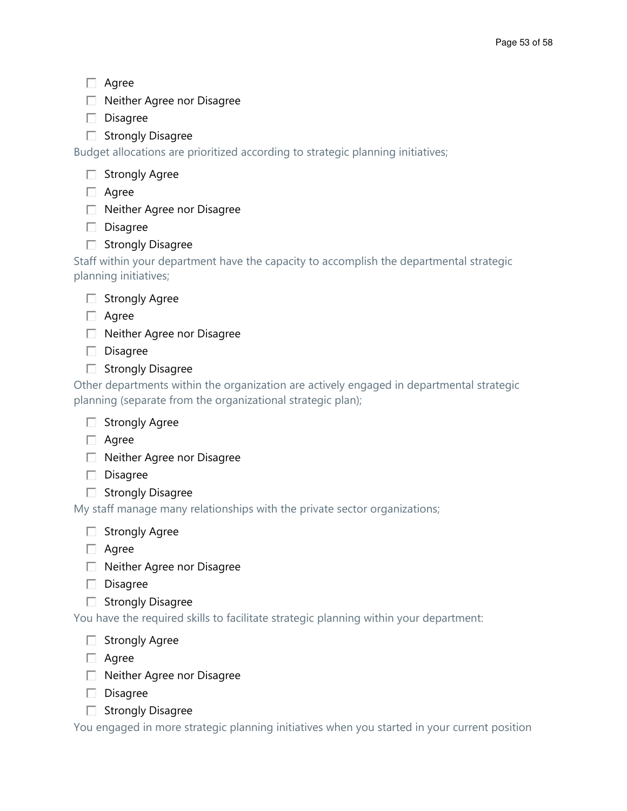- Agree
- □ Neither Agree nor Disagree
- $\square$  Disagree
- $\Box$  Strongly Disagree

Budget allocations are prioritized according to strategic planning initiatives;

| <b>Strongly Agree</b> |  |
|-----------------------|--|
|                       |  |

- □ Agree
- □ Neither Agree nor Disagree
- Disagree
- $\Box$  Strongly Disagree

Staff within your department have the capacity to accomplish the departmental strategic planning initiatives;



- □ Agree
- $\Box$  Neither Agree nor Disagree
- $\square$  Disagree
- $\Box$  Strongly Disagree

Other departments within the organization are actively engaged in departmental strategic planning (separate from the organizational strategic plan);

- $\Box$  Strongly Agree
- □ Agree
- □ Neither Agree nor Disagree
- $\square$  Disagree
- $\Box$  Strongly Disagree

My staff manage many relationships with the private sector organizations;

- $\Box$  Strongly Agree
- $\Box$  Agree
- $\Box$  Neither Agree nor Disagree
- $\square$  Disagree
- $\Box$  Strongly Disagree

You have the required skills to facilitate strategic planning within your department:

- $\Box$  Strongly Agree
- □ Agree
- □ Neither Agree nor Disagree
- $\square$  Disagree
- $\Box$  Strongly Disagree

You engaged in more strategic planning initiatives when you started in your current position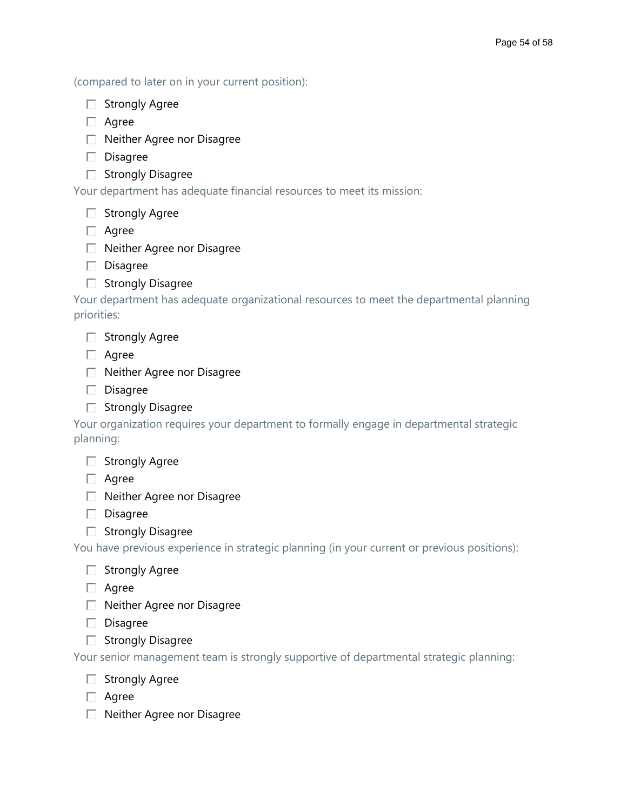(compared to later on in your current position):

|  | <b>Strongly Agree</b> |  |  |  |
|--|-----------------------|--|--|--|
|--|-----------------------|--|--|--|

□ Agree

□ Neither Agree nor Disagree

 $\square$  Disagree

 $\Box$  Strongly Disagree

Your department has adequate financial resources to meet its mission:

 $\Box$  Strongly Agree

□ Agree

□ Neither Agree nor Disagree

 $\square$  Disagree

 $\Box$  Strongly Disagree

Your department has adequate organizational resources to meet the departmental planning priorities:

□ Agree

- □ Neither Agree nor Disagree
- $\square$  Disagree
- $\Box$  Strongly Disagree

Your organization requires your department to formally engage in departmental strategic planning:

| <b>Strongly Agree</b> |  |
|-----------------------|--|
|                       |  |

 $\Box$  Agree

□ Neither Agree nor Disagree

 $\square$  Disagree

 $\Box$  Strongly Disagree

You have previous experience in strategic planning (in your current or previous positions):

 $\Box$  Strongly Agree

□ Agree

□ Neither Agree nor Disagree

 $\square$  Disagree

 $\Box$  Strongly Disagree

Your senior management team is strongly supportive of departmental strategic planning:

- $\Box$  Strongly Agree
- □ Agree
- □ Neither Agree nor Disagree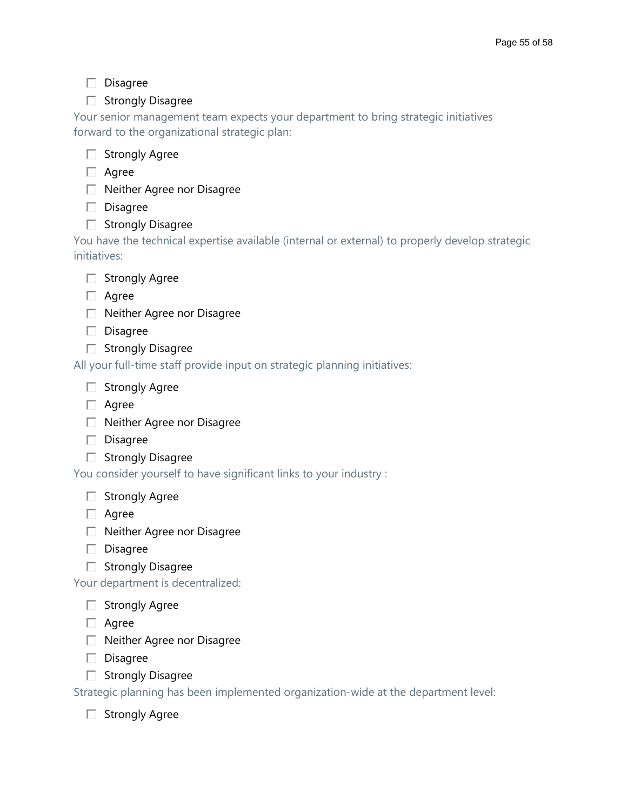# $\square$  Disagree

# $\Box$  Strongly Disagree

Your senior management team expects your department to bring strategic initiatives forward to the organizational strategic plan:



- □ Agree
- $\Box$  Neither Agree nor Disagree
- $\square$  Disagree
- $\Box$  Strongly Disagree

You have the technical expertise available (internal or external) to properly develop strategic initiatives:



- □ Agree
- $\Box$  Neither Agree nor Disagree
- $\square$  Disagree
- $\Box$  Strongly Disagree

All your full-time staff provide input on strategic planning initiatives:

- $\Box$  Strongly Agree
- □ Agree
- $\Box$  Neither Agree nor Disagree
- $\square$  Disagree
- $\Box$  Strongly Disagree

You consider yourself to have significant links to your industry :

- $\Box$  Strongly Agree
- □ Agree
- $\Box$  Neither Agree nor Disagree
- $\square$  Disagree
- $\Box$  Strongly Disagree

Your department is decentralized:

- $\Box$  Strongly Agree
- $\Box$  Agree
- $\Box$  Neither Agree nor Disagree
- $\square$  Disagree
- $\Box$  Strongly Disagree

Strategic planning has been implemented organization-wide at the department level:

 $\Box$  Strongly Agree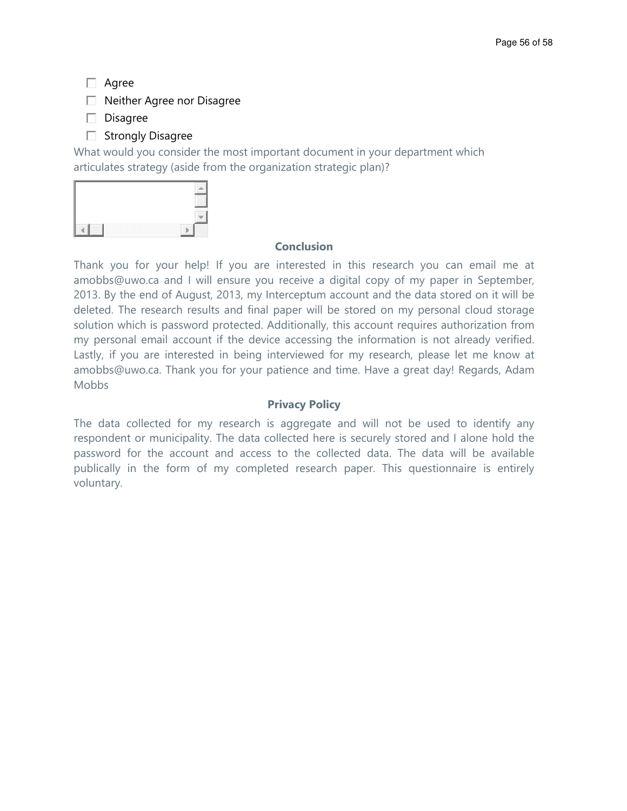□ Agree

 $\Box$  Neither Agree nor Disagree

- $\square$  Disagree
- $\Box$  Strongly Disagree

What would you consider the most important document in your department which articulates strategy (aside from the organization strategic plan)?



# Conclusion

Thank you for your help! If you are interested in this research you can email me at amobbs@uwo.ca and I will ensure you receive a digital copy of my paper in September, 2013. By the end of August, 2013, my Interceptum account and the data stored on it will be deleted. The research results and final paper will be stored on my personal cloud storage solution which is password protected. Additionally, this account requires authorization from my personal email account if the device accessing the information is not already verified. Lastly, if you are interested in being interviewed for my research, please let me know at amobbs@uwo.ca. Thank you for your patience and time. Have a great day! Regards, Adam **Mobbs** 

# Privacy Policy

The data collected for my research is aggregate and will not be used to identify any respondent or municipality. The data collected here is securely stored and I alone hold the password for the account and access to the collected data. The data will be available publically in the form of my completed research paper. This questionnaire is entirely voluntary.